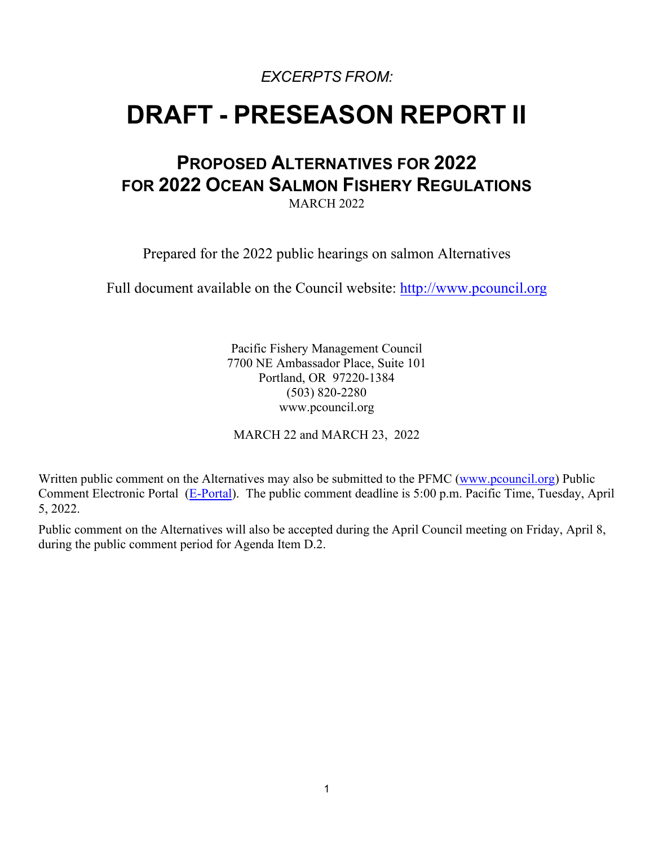*EXCERPTS FROM:* 

# **DRAFT - PRESEASON REPORT II**

## **PROPOSED ALTERNATIVES FOR 2022 FOR 2022 OCEAN SALMON FISHERY REGULATIONS**

MARCH 2022

Prepared for the 2022 public hearings on salmon Alternatives

Full document available on the Council website: [http://www.pcouncil.org](https://www.pcouncil.org/salmon-management-documents/#access-salmon-safe-and-management-documents-toc-390e050d-b5f0-495e-a98b-09855305bb2d)

Pacific Fishery Management Council 7700 NE Ambassador Place, Suite 101 Portland, OR 97220-1384 (503) 820-2280 www.pcouncil.org

MARCH 22 and MARCH 23, 2022

Written public comment on the Alternatives may also be submitted to the PFMC [\(www.pcouncil.org\)](http://www.pcouncil.org/) Public Comment Electronic Portal [\(E-Portal\)](https://pfmc.psmfc.org/Meeting/Details/2893?agendaID=14055). The public comment deadline is 5:00 p.m. Pacific Time, Tuesday, April 5, 2022.

Public comment on the Alternatives will also be accepted during the April Council meeting on Friday, April 8, during the public comment period for Agenda Item D.2.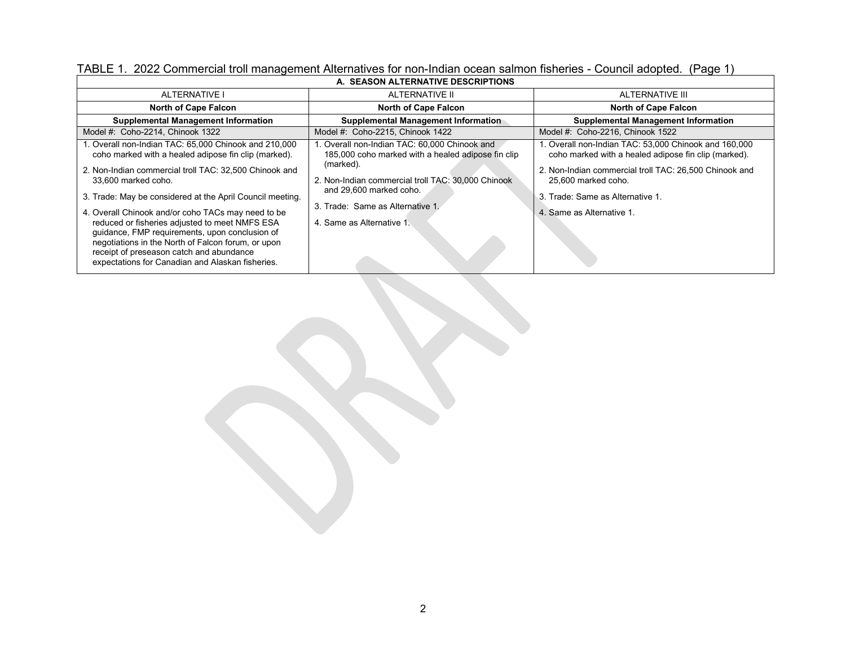| A. SEASON ALTERNATIVE DESCRIPTIONS                                                                                                                                                                                                                                                                                                                                                                                                                                                                                                                                          |                                                                                                                                                                                                                                                                   |                                                                                                                                                                                                                                                                 |  |
|-----------------------------------------------------------------------------------------------------------------------------------------------------------------------------------------------------------------------------------------------------------------------------------------------------------------------------------------------------------------------------------------------------------------------------------------------------------------------------------------------------------------------------------------------------------------------------|-------------------------------------------------------------------------------------------------------------------------------------------------------------------------------------------------------------------------------------------------------------------|-----------------------------------------------------------------------------------------------------------------------------------------------------------------------------------------------------------------------------------------------------------------|--|
| <b>ALTERNATIVE I</b>                                                                                                                                                                                                                                                                                                                                                                                                                                                                                                                                                        | ALTERNATIVE II                                                                                                                                                                                                                                                    | ALTERNATIVE III                                                                                                                                                                                                                                                 |  |
| <b>North of Cape Falcon</b>                                                                                                                                                                                                                                                                                                                                                                                                                                                                                                                                                 | <b>North of Cape Falcon</b>                                                                                                                                                                                                                                       | <b>North of Cape Falcon</b>                                                                                                                                                                                                                                     |  |
| <b>Supplemental Management Information</b>                                                                                                                                                                                                                                                                                                                                                                                                                                                                                                                                  | Supplemental Management Information                                                                                                                                                                                                                               | <b>Supplemental Management Information</b>                                                                                                                                                                                                                      |  |
| Model #: Coho-2214, Chinook 1322                                                                                                                                                                                                                                                                                                                                                                                                                                                                                                                                            | Model #: Coho-2215, Chinook 1422                                                                                                                                                                                                                                  | Model #: Coho-2216, Chinook 1522                                                                                                                                                                                                                                |  |
| 1. Overall non-Indian TAC: 65,000 Chinook and 210,000<br>coho marked with a healed adipose fin clip (marked).<br>2. Non-Indian commercial troll TAC: 32,500 Chinook and<br>33.600 marked coho.<br>3. Trade: May be considered at the April Council meeting.<br>4. Overall Chinook and/or coho TACs may need to be<br>reduced or fisheries adjusted to meet NMFS ESA<br>quidance, FMP requirements, upon conclusion of<br>negotiations in the North of Falcon forum, or upon<br>receipt of preseason catch and abundance<br>expectations for Canadian and Alaskan fisheries. | . Overall non-Indian TAC: 60,000 Chinook and<br>185,000 coho marked with a healed adipose fin clip<br>(marked).<br>2. Non-Indian commercial troll TAC: 30,000 Chinook<br>and 29,600 marked coho.<br>3. Trade: Same as Alternative 1.<br>4. Same as Alternative 1. | 1. Overall non-Indian TAC: 53,000 Chinook and 160,000<br>coho marked with a healed adipose fin clip (marked).<br>2. Non-Indian commercial troll TAC: 26,500 Chinook and<br>25,600 marked coho.<br>3. Trade: Same as Alternative 1.<br>4. Same as Alternative 1. |  |

TABLE 1. 2022 Commercial troll management Alternatives for non-Indian ocean salmon fisheries - Council adopted. (Page 1)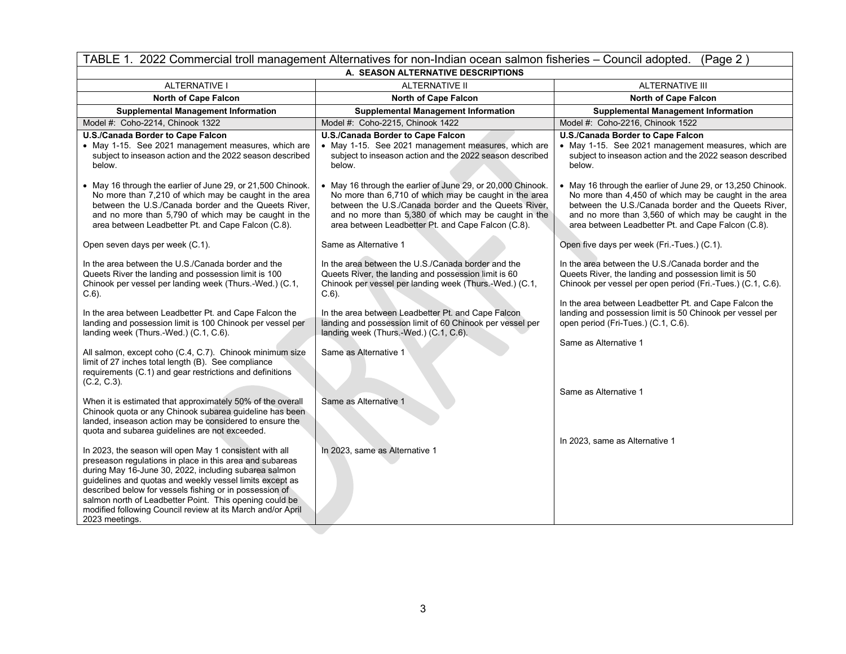| TABLE 1. 2022 Commercial troll management Alternatives for non-Indian ocean salmon fisheries – Council adopted.<br>(Page 2)                                                                                                                                                                                                                                                                                                                                                                                                        |                                                                                                                                                                                                                                                                                                                                                                         |                                                                                                                                                                                                                                                                                                                                                                  |  |
|------------------------------------------------------------------------------------------------------------------------------------------------------------------------------------------------------------------------------------------------------------------------------------------------------------------------------------------------------------------------------------------------------------------------------------------------------------------------------------------------------------------------------------|-------------------------------------------------------------------------------------------------------------------------------------------------------------------------------------------------------------------------------------------------------------------------------------------------------------------------------------------------------------------------|------------------------------------------------------------------------------------------------------------------------------------------------------------------------------------------------------------------------------------------------------------------------------------------------------------------------------------------------------------------|--|
| A. SEASON ALTERNATIVE DESCRIPTIONS                                                                                                                                                                                                                                                                                                                                                                                                                                                                                                 |                                                                                                                                                                                                                                                                                                                                                                         |                                                                                                                                                                                                                                                                                                                                                                  |  |
| <b>ALTERNATIVE I</b>                                                                                                                                                                                                                                                                                                                                                                                                                                                                                                               | <b>ALTERNATIVE II</b>                                                                                                                                                                                                                                                                                                                                                   | <b>ALTERNATIVE III</b>                                                                                                                                                                                                                                                                                                                                           |  |
| <b>North of Cape Falcon</b>                                                                                                                                                                                                                                                                                                                                                                                                                                                                                                        | <b>North of Cape Falcon</b>                                                                                                                                                                                                                                                                                                                                             | <b>North of Cape Falcon</b>                                                                                                                                                                                                                                                                                                                                      |  |
| <b>Supplemental Management Information</b>                                                                                                                                                                                                                                                                                                                                                                                                                                                                                         | <b>Supplemental Management Information</b>                                                                                                                                                                                                                                                                                                                              | <b>Supplemental Management Information</b>                                                                                                                                                                                                                                                                                                                       |  |
| Model #: Coho-2214, Chinook 1322                                                                                                                                                                                                                                                                                                                                                                                                                                                                                                   | Model #: Coho-2215, Chinook 1422                                                                                                                                                                                                                                                                                                                                        | Model #: Coho-2216, Chinook 1522                                                                                                                                                                                                                                                                                                                                 |  |
| U.S./Canada Border to Cape Falcon<br>• May 1-15. See 2021 management measures, which are<br>subject to inseason action and the 2022 season described<br>below.                                                                                                                                                                                                                                                                                                                                                                     | U.S./Canada Border to Cape Falcon<br>• May 1-15. See 2021 management measures, which are<br>subject to inseason action and the 2022 season described<br>below.                                                                                                                                                                                                          | U.S./Canada Border to Cape Falcon<br>• May 1-15. See 2021 management measures, which are<br>subject to inseason action and the 2022 season described<br>below.                                                                                                                                                                                                   |  |
| • May 16 through the earlier of June 29, or 21,500 Chinook.<br>No more than 7,210 of which may be caught in the area<br>between the U.S./Canada border and the Queets River,<br>and no more than 5,790 of which may be caught in the<br>area between Leadbetter Pt. and Cape Falcon (C.8).                                                                                                                                                                                                                                         | • May 16 through the earlier of June 29, or 20,000 Chinook.<br>No more than 6,710 of which may be caught in the area<br>between the U.S./Canada border and the Queets River,<br>and no more than 5,380 of which may be caught in the<br>area between Leadbetter Pt. and Cape Falcon (C.8).                                                                              | • May 16 through the earlier of June 29, or 13,250 Chinook.<br>No more than 4,450 of which may be caught in the area<br>between the U.S./Canada border and the Queets River,<br>and no more than 3,560 of which may be caught in the<br>area between Leadbetter Pt. and Cape Falcon (C.8).                                                                       |  |
| Open seven days per week (C.1).                                                                                                                                                                                                                                                                                                                                                                                                                                                                                                    | Same as Alternative 1                                                                                                                                                                                                                                                                                                                                                   | Open five days per week (Fri.-Tues.) (C.1).                                                                                                                                                                                                                                                                                                                      |  |
| In the area between the U.S./Canada border and the<br>Queets River the landing and possession limit is 100<br>Chinook per vessel per landing week (Thurs.-Wed.) (C.1,<br>$C.6$ ).<br>In the area between Leadbetter Pt. and Cape Falcon the<br>landing and possession limit is 100 Chinook per vessel per<br>landing week (Thurs.-Wed.) (C.1, C.6).<br>All salmon, except coho (C.4, C.7). Chinook minimum size<br>limit of 27 inches total length (B). See compliance<br>requirements (C.1) and gear restrictions and definitions | In the area between the U.S./Canada border and the<br>Queets River, the landing and possession limit is 60<br>Chinook per vessel per landing week (Thurs.-Wed.) (C.1,<br>$C.6$ ).<br>In the area between Leadbetter Pt. and Cape Falcon<br>landing and possession limit of 60 Chinook per vessel per<br>landing week (Thurs.-Wed.) (C.1, C.6).<br>Same as Alternative 1 | In the area between the U.S./Canada border and the<br>Queets River, the landing and possession limit is 50<br>Chinook per vessel per open period (Fri.-Tues.) (C.1, C.6).<br>In the area between Leadbetter Pt. and Cape Falcon the<br>landing and possession limit is 50 Chinook per vessel per<br>open period (Fri-Tues.) (C.1, C.6).<br>Same as Alternative 1 |  |
| $(C.2, C.3)$ .<br>When it is estimated that approximately 50% of the overall<br>Chinook quota or any Chinook subarea guideline has been<br>landed, inseason action may be considered to ensure the<br>quota and subarea guidelines are not exceeded.                                                                                                                                                                                                                                                                               | Same as Alternative 1                                                                                                                                                                                                                                                                                                                                                   | Same as Alternative 1                                                                                                                                                                                                                                                                                                                                            |  |
| In 2023, the season will open May 1 consistent with all<br>preseason regulations in place in this area and subareas<br>during May 16-June 30, 2022, including subarea salmon<br>guidelines and quotas and weekly vessel limits except as<br>described below for vessels fishing or in possession of<br>salmon north of Leadbetter Point. This opening could be<br>modified following Council review at its March and/or April<br>2023 meetings.                                                                                    | In 2023, same as Alternative 1                                                                                                                                                                                                                                                                                                                                          | In 2023, same as Alternative 1                                                                                                                                                                                                                                                                                                                                   |  |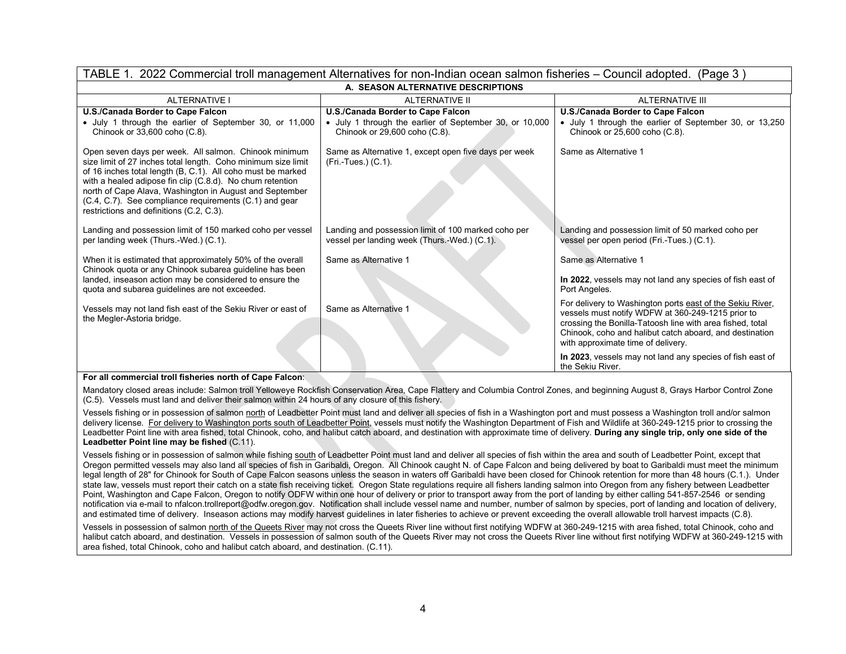| TABLE 1. 2022 Commercial troll management Alternatives for non-Indian ocean salmon fisheries – Council adopted. (Page 3)                                                                                                                                                                                                                                                                                            |                                                                                                                               |                                                                                                                                                                                                                                                                              |  |
|---------------------------------------------------------------------------------------------------------------------------------------------------------------------------------------------------------------------------------------------------------------------------------------------------------------------------------------------------------------------------------------------------------------------|-------------------------------------------------------------------------------------------------------------------------------|------------------------------------------------------------------------------------------------------------------------------------------------------------------------------------------------------------------------------------------------------------------------------|--|
|                                                                                                                                                                                                                                                                                                                                                                                                                     | A. SEASON ALTERNATIVE DESCRIPTIONS                                                                                            |                                                                                                                                                                                                                                                                              |  |
| <b>ALTERNATIVE I</b>                                                                                                                                                                                                                                                                                                                                                                                                | <b>ALTERNATIVE II</b>                                                                                                         | ALTERNATIVE III                                                                                                                                                                                                                                                              |  |
| U.S./Canada Border to Cape Falcon<br>• July 1 through the earlier of September 30, or 11,000<br>Chinook or 33,600 coho (C.8).                                                                                                                                                                                                                                                                                       | U.S./Canada Border to Cape Falcon<br>• July 1 through the earlier of September 30, or 10,000<br>Chinook or 29,600 coho (C.8). | U.S./Canada Border to Cape Falcon<br>• July 1 through the earlier of September 30, or 13,250<br>Chinook or 25,600 coho (C.8).                                                                                                                                                |  |
| Open seven days per week. All salmon. Chinook minimum<br>size limit of 27 inches total length. Coho minimum size limit<br>of 16 inches total length (B, C.1). All coho must be marked<br>with a healed adipose fin clip (C.8.d). No chum retention<br>north of Cape Alava, Washington in August and September<br>(C.4, C.7). See compliance requirements (C.1) and gear<br>restrictions and definitions (C.2, C.3). | Same as Alternative 1, except open five days per week<br>$(Fri - Tues.) (C.1).$                                               | Same as Alternative 1                                                                                                                                                                                                                                                        |  |
| Landing and possession limit of 150 marked coho per vessel<br>per landing week (Thurs.-Wed.) (C.1).                                                                                                                                                                                                                                                                                                                 | Landing and possession limit of 100 marked coho per<br>vessel per landing week (Thurs.-Wed.) (C.1).                           | Landing and possession limit of 50 marked coho per<br>vessel per open period (Fri.-Tues.) (C.1).                                                                                                                                                                             |  |
| When it is estimated that approximately 50% of the overall<br>Chinook quota or any Chinook subarea guideline has been<br>landed, inseason action may be considered to ensure the<br>quota and subarea guidelines are not exceeded.                                                                                                                                                                                  | Same as Alternative 1                                                                                                         | Same as Alternative 1<br>In 2022, vessels may not land any species of fish east of<br>Port Angeles.                                                                                                                                                                          |  |
| Vessels may not land fish east of the Sekiu River or east of<br>the Megler-Astoria bridge.                                                                                                                                                                                                                                                                                                                          | Same as Alternative 1                                                                                                         | For delivery to Washington ports east of the Sekiu River,<br>vessels must notify WDFW at 360-249-1215 prior to<br>crossing the Bonilla-Tatoosh line with area fished, total<br>Chinook, coho and halibut catch aboard, and destination<br>with approximate time of delivery. |  |
| .<br>$\cdots$                                                                                                                                                                                                                                                                                                                                                                                                       |                                                                                                                               | In 2023, vessels may not land any species of fish east of<br>the Sekiu River.                                                                                                                                                                                                |  |

#### **For all commercial troll fisheries north of Cape Falcon**:

Mandatory closed areas include: Salmon troll Yelloweye Rockfish Conservation Area, Cape Flattery and Columbia Control Zones, and beginning August 8, Grays Harbor Control Zone (C.5). Vessels must land and deliver their salmon within 24 hours of any closure of this fishery.

Vessels fishing or in possession of salmon north of Leadbetter Point must land and deliver all species of fish in a Washington port and must possess a Washington troll and/or salmon delivery license. For delivery to Washington ports south of Leadbetter Point, vessels must notify the Washington Department of Fish and Wildlife at 360-249-1215 prior to crossing the Leadbetter Point line with area fished, total Chinook, coho, and halibut catch aboard, and destination with approximate time of delivery. **During any single trip, only one side of the Leadbetter Point line may be fished** (C.11).

Vessels fishing or in possession of salmon while fishing south of Leadbetter Point must land and deliver all species of fish within the area and south of Leadbetter Point, except that Oregon permitted vessels may also land all species of fish in Garibaldi, Oregon. All Chinook caught N. of Cape Falcon and being delivered by boat to Garibaldi must meet the minimum legal length of 28" for Chinook for South of Cape Falcon seasons unless the season in waters off Garibaldi have been closed for Chinook retention for more than 48 hours (C.1.). Under state law, vessels must report their catch on a state fish receiving ticket. Oregon State regulations require all fishers landing salmon into Oregon from any fishery between Leadbetter Point, Washington and Cape Falcon, Oregon to notify ODFW within one hour of delivery or prior to transport away from the port of landing by either calling 541-857-2546 or sending notification via e-mail to nfalcon.trollreport@odfw.oregon.gov. Notification shall include vessel name and number, number of salmon by species, port of landing and location of delivery, and estimated time of delivery. Inseason actions may modify harvest guidelines in later fisheries to achieve or prevent exceeding the overall allowable troll harvest impacts (C.8).

Vessels in possession of salmon north of the Queets River may not cross the Queets River line without first notifying WDFW at 360-249-1215 with area fished, total Chinook, coho and halibut catch aboard, and destination. Vessels in possession of salmon south of the Queets River may not cross the Queets River line without first notifying WDFW at 360-249-1215 with area fished, total Chinook, coho and halibut catch aboard, and destination. (C.11).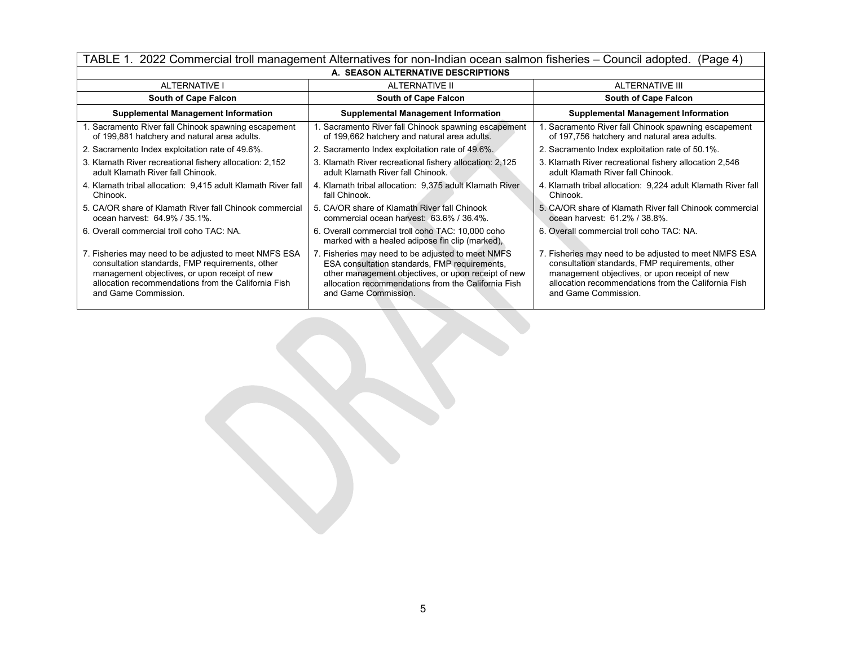| TABLE 1. 2022 Commercial troll management Alternatives for non-Indian ocean salmon fisheries – Council adopted.<br>(Page 4)                                                                                                              |                                                                                                                                                                                                                                          |                                                                                                                                                                                                                                          |  |  |
|------------------------------------------------------------------------------------------------------------------------------------------------------------------------------------------------------------------------------------------|------------------------------------------------------------------------------------------------------------------------------------------------------------------------------------------------------------------------------------------|------------------------------------------------------------------------------------------------------------------------------------------------------------------------------------------------------------------------------------------|--|--|
|                                                                                                                                                                                                                                          | A. SEASON ALTERNATIVE DESCRIPTIONS                                                                                                                                                                                                       |                                                                                                                                                                                                                                          |  |  |
| <b>ALTERNATIVE I</b>                                                                                                                                                                                                                     | ALTERNATIVE II                                                                                                                                                                                                                           | ALTERNATIVE III                                                                                                                                                                                                                          |  |  |
| <b>South of Cape Falcon</b>                                                                                                                                                                                                              | <b>South of Cape Falcon</b>                                                                                                                                                                                                              | <b>South of Cape Falcon</b>                                                                                                                                                                                                              |  |  |
| <b>Supplemental Management Information</b>                                                                                                                                                                                               | <b>Supplemental Management Information</b>                                                                                                                                                                                               | <b>Supplemental Management Information</b>                                                                                                                                                                                               |  |  |
| 1. Sacramento River fall Chinook spawning escapement<br>of 199,881 hatchery and natural area adults.                                                                                                                                     | 1. Sacramento River fall Chinook spawning escapement<br>of 199,662 hatchery and natural area adults.                                                                                                                                     | 1. Sacramento River fall Chinook spawning escapement<br>of 197,756 hatchery and natural area adults.                                                                                                                                     |  |  |
| 2. Sacramento Index exploitation rate of 49.6%.                                                                                                                                                                                          | 2. Sacramento Index exploitation rate of 49.6%.                                                                                                                                                                                          | 2. Sacramento Index exploitation rate of 50.1%.                                                                                                                                                                                          |  |  |
| 3. Klamath River recreational fishery allocation: 2,152<br>adult Klamath River fall Chinook.                                                                                                                                             | 3. Klamath River recreational fishery allocation: 2,125<br>adult Klamath River fall Chinook.                                                                                                                                             | 3. Klamath River recreational fishery allocation 2,546<br>adult Klamath River fall Chinook.                                                                                                                                              |  |  |
| 4. Klamath tribal allocation: 9,415 adult Klamath River fall<br>Chinook.                                                                                                                                                                 | 4. Klamath tribal allocation: 9,375 adult Klamath River<br>fall Chinook.                                                                                                                                                                 | 4. Klamath tribal allocation: 9,224 adult Klamath River fall<br>Chinook.                                                                                                                                                                 |  |  |
| 5. CA/OR share of Klamath River fall Chinook commercial<br>ocean harvest: 64.9% / 35.1%.                                                                                                                                                 | 5. CA/OR share of Klamath River fall Chinook<br>commercial ocean harvest: 63.6% / 36.4%.                                                                                                                                                 | 5. CA/OR share of Klamath River fall Chinook commercial<br>ocean harvest: 61.2% / 38.8%.                                                                                                                                                 |  |  |
| 6. Overall commercial troll coho TAC: NA.                                                                                                                                                                                                | 6. Overall commercial troll coho TAC: 10,000 coho<br>marked with a healed adipose fin clip (marked),                                                                                                                                     | 6. Overall commercial troll coho TAC: NA.                                                                                                                                                                                                |  |  |
| 7. Fisheries may need to be adjusted to meet NMFS ESA<br>consultation standards, FMP requirements, other<br>management objectives, or upon receipt of new<br>allocation recommendations from the California Fish<br>and Game Commission. | 7. Fisheries may need to be adjusted to meet NMFS<br>ESA consultation standards, FMP requirements,<br>other management objectives, or upon receipt of new<br>allocation recommendations from the California Fish<br>and Game Commission. | 7. Fisheries may need to be adjusted to meet NMFS ESA<br>consultation standards, FMP requirements, other<br>management objectives, or upon receipt of new<br>allocation recommendations from the California Fish<br>and Game Commission. |  |  |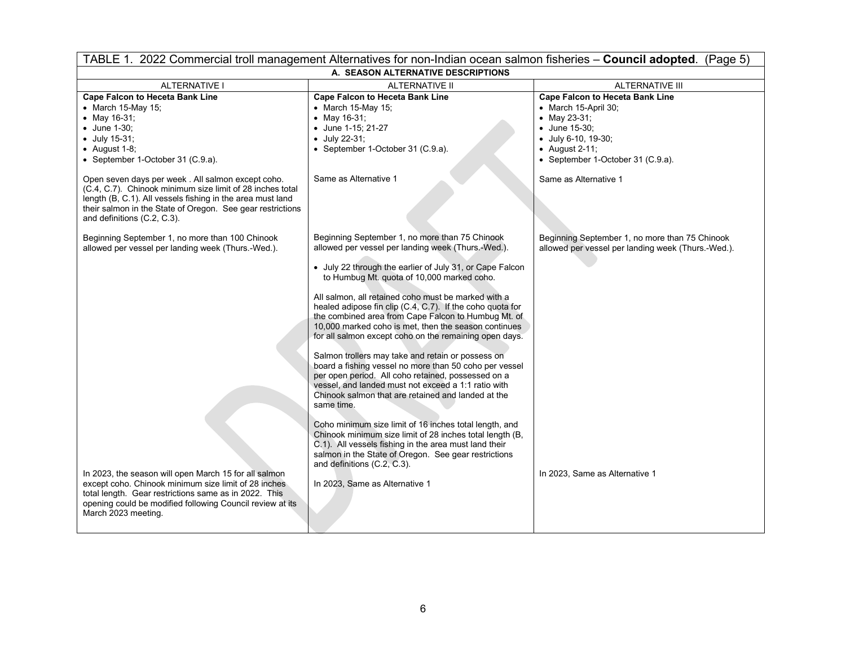| TABLE 1. 2022 Commercial troll management Alternatives for non-Indian ocean salmon fisheries - Council adopted. (Page 5)                                                                                                                                                                                                                                                                                                                                         |                                                                                                                                                                                                                                                                                                                                                                                                                                                                                                                                                                                                                                                                                                                                                                                                                                                                                                                                                                                                                                                                                   |                                                                                                                                                                                                                |  |
|------------------------------------------------------------------------------------------------------------------------------------------------------------------------------------------------------------------------------------------------------------------------------------------------------------------------------------------------------------------------------------------------------------------------------------------------------------------|-----------------------------------------------------------------------------------------------------------------------------------------------------------------------------------------------------------------------------------------------------------------------------------------------------------------------------------------------------------------------------------------------------------------------------------------------------------------------------------------------------------------------------------------------------------------------------------------------------------------------------------------------------------------------------------------------------------------------------------------------------------------------------------------------------------------------------------------------------------------------------------------------------------------------------------------------------------------------------------------------------------------------------------------------------------------------------------|----------------------------------------------------------------------------------------------------------------------------------------------------------------------------------------------------------------|--|
| A. SEASON ALTERNATIVE DESCRIPTIONS                                                                                                                                                                                                                                                                                                                                                                                                                               |                                                                                                                                                                                                                                                                                                                                                                                                                                                                                                                                                                                                                                                                                                                                                                                                                                                                                                                                                                                                                                                                                   |                                                                                                                                                                                                                |  |
| <b>ALTERNATIVE I</b>                                                                                                                                                                                                                                                                                                                                                                                                                                             | <b>ALTERNATIVE II</b>                                                                                                                                                                                                                                                                                                                                                                                                                                                                                                                                                                                                                                                                                                                                                                                                                                                                                                                                                                                                                                                             | ALTERNATIVE III                                                                                                                                                                                                |  |
| <b>Cape Falcon to Heceta Bank Line</b><br>• March 15-May 15;<br>• May 16-31;<br>• June 1-30;<br>$\bullet$ July 15-31;<br>$\bullet$ August 1-8;<br>• September 1-October 31 (C.9.a).<br>Open seven days per week. All salmon except coho.<br>(C.4, C.7). Chinook minimum size limit of 28 inches total<br>length (B, C.1). All vessels fishing in the area must land<br>their salmon in the State of Oregon. See gear restrictions<br>and definitions (C.2, C.3). | <b>Cape Falcon to Heceta Bank Line</b><br>$\bullet$ March 15-May 15;<br>• May 16-31;<br>• June 1-15; 21-27<br>$\bullet$ July 22-31;<br>• September 1-October 31 (C.9.a).<br>Same as Alternative 1                                                                                                                                                                                                                                                                                                                                                                                                                                                                                                                                                                                                                                                                                                                                                                                                                                                                                 | <b>Cape Falcon to Heceta Bank Line</b><br>• March 15-April 30;<br>• May 23-31;<br>• June 15-30;<br>• July 6-10, 19-30;<br>$\bullet$ August 2-11;<br>• September 1-October 31 (C.9.a).<br>Same as Alternative 1 |  |
| Beginning September 1, no more than 100 Chinook<br>allowed per vessel per landing week (Thurs.-Wed.).                                                                                                                                                                                                                                                                                                                                                            | Beginning September 1, no more than 75 Chinook<br>allowed per vessel per landing week (Thurs.-Wed.).<br>• July 22 through the earlier of July 31, or Cape Falcon<br>to Humbug Mt. quota of 10,000 marked coho.<br>All salmon, all retained coho must be marked with a<br>healed adipose fin clip (C.4, C.7). If the coho quota for<br>the combined area from Cape Falcon to Humbug Mt. of<br>10,000 marked coho is met, then the season continues<br>for all salmon except coho on the remaining open days.<br>Salmon trollers may take and retain or possess on<br>board a fishing vessel no more than 50 coho per vessel<br>per open period. All coho retained, possessed on a<br>vessel, and landed must not exceed a 1:1 ratio with<br>Chinook salmon that are retained and landed at the<br>same time.<br>Coho minimum size limit of 16 inches total length, and<br>Chinook minimum size limit of 28 inches total length (B,<br>C.1). All vessels fishing in the area must land their<br>salmon in the State of Oregon. See gear restrictions<br>and definitions (C.2, C.3). | Beginning September 1, no more than 75 Chinook<br>allowed per vessel per landing week (Thurs.-Wed.).                                                                                                           |  |
| In 2023, the season will open March 15 for all salmon<br>except coho. Chinook minimum size limit of 28 inches<br>total length. Gear restrictions same as in 2022. This<br>opening could be modified following Council review at its<br>March 2023 meeting.                                                                                                                                                                                                       | In 2023, Same as Alternative 1                                                                                                                                                                                                                                                                                                                                                                                                                                                                                                                                                                                                                                                                                                                                                                                                                                                                                                                                                                                                                                                    | In 2023, Same as Alternative 1                                                                                                                                                                                 |  |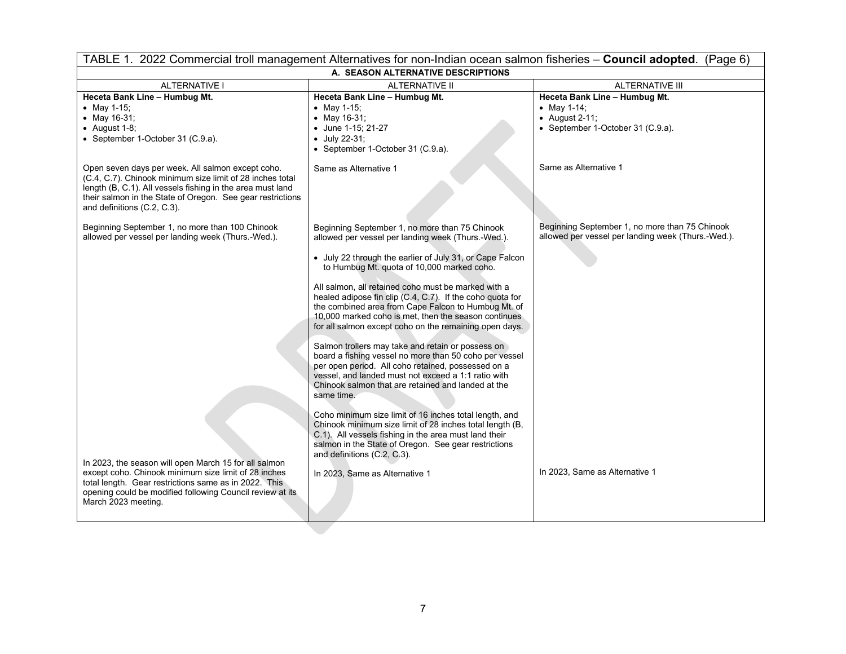| TABLE 1. 2022 Commercial troll management Alternatives for non-Indian ocean salmon fisheries - Council adopted. (Page 6)                                                                                                                                                  |                                                                                                                                                                                                                                                                                              |                                                                                                      |  |
|---------------------------------------------------------------------------------------------------------------------------------------------------------------------------------------------------------------------------------------------------------------------------|----------------------------------------------------------------------------------------------------------------------------------------------------------------------------------------------------------------------------------------------------------------------------------------------|------------------------------------------------------------------------------------------------------|--|
| A. SEASON ALTERNATIVE DESCRIPTIONS                                                                                                                                                                                                                                        |                                                                                                                                                                                                                                                                                              |                                                                                                      |  |
| <b>ALTERNATIVE I</b>                                                                                                                                                                                                                                                      | <b>ALTERNATIVE II</b>                                                                                                                                                                                                                                                                        | ALTERNATIVE III                                                                                      |  |
| Heceta Bank Line - Humbug Mt.                                                                                                                                                                                                                                             | Heceta Bank Line - Humbug Mt.                                                                                                                                                                                                                                                                | Heceta Bank Line - Humbug Mt.                                                                        |  |
| • May 1-15;                                                                                                                                                                                                                                                               | • May 1-15;                                                                                                                                                                                                                                                                                  | • May 1-14;                                                                                          |  |
| • May $16-31$ :                                                                                                                                                                                                                                                           | • May $16-31$ ;                                                                                                                                                                                                                                                                              | $\bullet$ August 2-11;                                                                               |  |
| $\bullet$ August 1-8;                                                                                                                                                                                                                                                     | • June 1-15; 21-27                                                                                                                                                                                                                                                                           | • September 1-October 31 (C.9.a).                                                                    |  |
| • September 1-October 31 (C.9.a).                                                                                                                                                                                                                                         | $\bullet$ July 22-31;                                                                                                                                                                                                                                                                        |                                                                                                      |  |
|                                                                                                                                                                                                                                                                           | • September 1-October 31 (C.9.a).                                                                                                                                                                                                                                                            |                                                                                                      |  |
| Open seven days per week. All salmon except coho.<br>(C.4, C.7). Chinook minimum size limit of 28 inches total<br>length (B, C.1). All vessels fishing in the area must land<br>their salmon in the State of Oregon. See gear restrictions<br>and definitions (C.2, C.3). | Same as Alternative 1                                                                                                                                                                                                                                                                        | Same as Alternative 1                                                                                |  |
| Beginning September 1, no more than 100 Chinook<br>allowed per vessel per landing week (Thurs.-Wed.).                                                                                                                                                                     | Beginning September 1, no more than 75 Chinook<br>allowed per vessel per landing week (Thurs.-Wed.).                                                                                                                                                                                         | Beginning September 1, no more than 75 Chinook<br>allowed per vessel per landing week (Thurs.-Wed.). |  |
|                                                                                                                                                                                                                                                                           | • July 22 through the earlier of July 31, or Cape Falcon<br>to Humbug Mt. quota of 10,000 marked coho.                                                                                                                                                                                       |                                                                                                      |  |
|                                                                                                                                                                                                                                                                           | All salmon, all retained coho must be marked with a<br>healed adipose fin clip (C.4, C.7). If the coho quota for<br>the combined area from Cape Falcon to Humbug Mt. of<br>10,000 marked coho is met, then the season continues<br>for all salmon except coho on the remaining open days.    |                                                                                                      |  |
|                                                                                                                                                                                                                                                                           | Salmon trollers may take and retain or possess on<br>board a fishing vessel no more than 50 coho per vessel<br>per open period. All coho retained, possessed on a<br>vessel, and landed must not exceed a 1:1 ratio with<br>Chinook salmon that are retained and landed at the<br>same time. |                                                                                                      |  |
|                                                                                                                                                                                                                                                                           | Coho minimum size limit of 16 inches total length, and<br>Chinook minimum size limit of 28 inches total length (B,<br>C.1). All vessels fishing in the area must land their<br>salmon in the State of Oregon. See gear restrictions<br>and definitions (C.2, C.3).                           |                                                                                                      |  |
| In 2023, the season will open March 15 for all salmon<br>except coho. Chinook minimum size limit of 28 inches<br>total length. Gear restrictions same as in 2022. This<br>opening could be modified following Council review at its<br>March 2023 meeting.                | In 2023, Same as Alternative 1                                                                                                                                                                                                                                                               | In 2023, Same as Alternative 1                                                                       |  |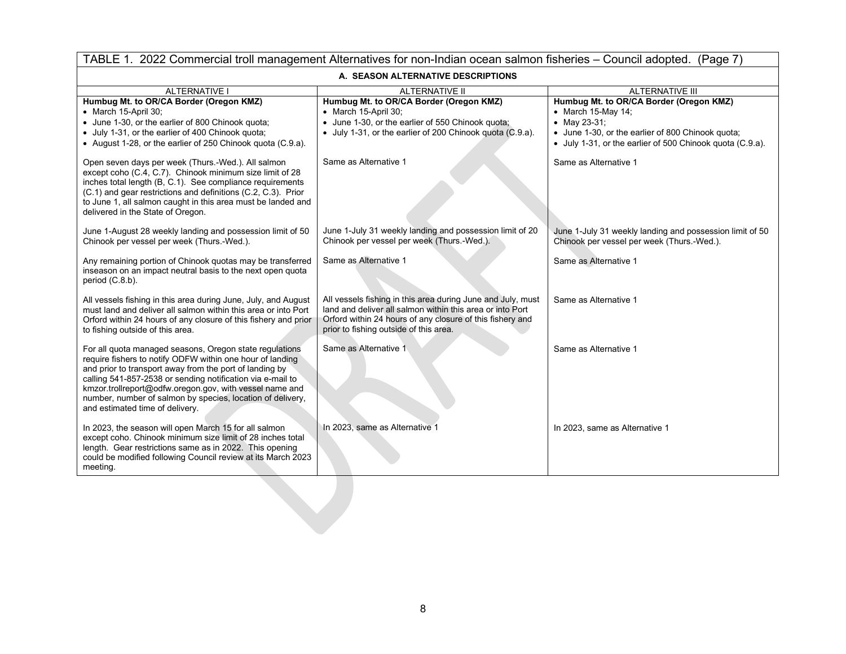| TABLE 1. 2022 Commercial troll management Alternatives for non-Indian ocean salmon fisheries – Council adopted. (Page 7)                                                                                                                                                                                                                                                                                  |                                                                                                                                                                                                                                 |                                                                                                                                                                                                 |
|-----------------------------------------------------------------------------------------------------------------------------------------------------------------------------------------------------------------------------------------------------------------------------------------------------------------------------------------------------------------------------------------------------------|---------------------------------------------------------------------------------------------------------------------------------------------------------------------------------------------------------------------------------|-------------------------------------------------------------------------------------------------------------------------------------------------------------------------------------------------|
| A. SEASON ALTERNATIVE DESCRIPTIONS                                                                                                                                                                                                                                                                                                                                                                        |                                                                                                                                                                                                                                 |                                                                                                                                                                                                 |
| ALTERNATIVE I                                                                                                                                                                                                                                                                                                                                                                                             | <b>ALTERNATIVE II</b>                                                                                                                                                                                                           | ALTERNATIVE III                                                                                                                                                                                 |
| Humbug Mt. to OR/CA Border (Oregon KMZ)<br>• March 15-April 30;<br>• June 1-30, or the earlier of 800 Chinook quota;<br>• July 1-31, or the earlier of 400 Chinook quota;<br>• August 1-28, or the earlier of 250 Chinook quota (C.9.a).                                                                                                                                                                  | Humbug Mt. to OR/CA Border (Oregon KMZ)<br>• March 15-April 30;<br>June 1-30, or the earlier of 550 Chinook quota;<br>• July 1-31, or the earlier of 200 Chinook quota (C.9.a).                                                 | Humbug Mt. to OR/CA Border (Oregon KMZ)<br>• March 15-May 14;<br>• May 23-31;<br>• June 1-30, or the earlier of 800 Chinook quota;<br>• July 1-31, or the earlier of 500 Chinook quota (C.9.a). |
| Open seven days per week (Thurs.-Wed.). All salmon<br>except coho (C.4, C.7). Chinook minimum size limit of 28<br>inches total length (B, C.1). See compliance requirements<br>(C.1) and gear restrictions and definitions (C.2, C.3). Prior<br>to June 1, all salmon caught in this area must be landed and<br>delivered in the State of Oregon.                                                         | Same as Alternative 1                                                                                                                                                                                                           | Same as Alternative 1                                                                                                                                                                           |
| June 1-August 28 weekly landing and possession limit of 50<br>Chinook per vessel per week (Thurs.-Wed.).                                                                                                                                                                                                                                                                                                  | June 1-July 31 weekly landing and possession limit of 20<br>Chinook per vessel per week (Thurs.-Wed.).                                                                                                                          | June 1-July 31 weekly landing and possession limit of 50<br>Chinook per vessel per week (Thurs.-Wed.).                                                                                          |
| Any remaining portion of Chinook quotas may be transferred<br>inseason on an impact neutral basis to the next open quota<br>period (C.8.b).                                                                                                                                                                                                                                                               | Same as Alternative 1                                                                                                                                                                                                           | Same as Alternative 1                                                                                                                                                                           |
| All vessels fishing in this area during June, July, and August<br>must land and deliver all salmon within this area or into Port<br>Orford within 24 hours of any closure of this fishery and prior<br>to fishing outside of this area.                                                                                                                                                                   | All vessels fishing in this area during June and July, must<br>land and deliver all salmon within this area or into Port<br>Orford within 24 hours of any closure of this fishery and<br>prior to fishing outside of this area. | Same as Alternative 1                                                                                                                                                                           |
| For all quota managed seasons, Oregon state regulations<br>require fishers to notify ODFW within one hour of landing<br>and prior to transport away from the port of landing by<br>calling 541-857-2538 or sending notification via e-mail to<br>kmzor.trollreport@odfw.oregon.gov, with vessel name and<br>number, number of salmon by species, location of delivery,<br>and estimated time of delivery. | Same as Alternative 1                                                                                                                                                                                                           | Same as Alternative 1                                                                                                                                                                           |
| In 2023, the season will open March 15 for all salmon<br>except coho. Chinook minimum size limit of 28 inches total<br>length. Gear restrictions same as in 2022. This opening<br>could be modified following Council review at its March 2023<br>meeting.                                                                                                                                                | In 2023, same as Alternative 1                                                                                                                                                                                                  | In 2023, same as Alternative 1                                                                                                                                                                  |
|                                                                                                                                                                                                                                                                                                                                                                                                           |                                                                                                                                                                                                                                 |                                                                                                                                                                                                 |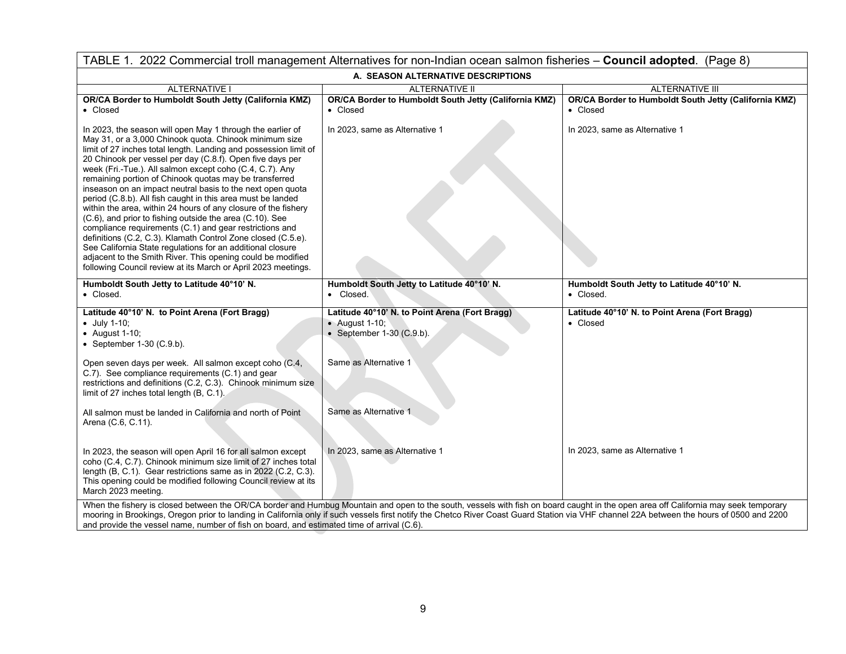| TABLE 1. 2022 Commercial troll management Alternatives for non-Indian ocean salmon fisheries - Council adopted. (Page 8)                                                                                                                                                                                                                                                                                                                                                                                                                                                                                                                                                                                                                                                                                                                                                                                                                                        |                                                                                                                                                                                                                                                                                                                                                                                  |                                                                   |  |
|-----------------------------------------------------------------------------------------------------------------------------------------------------------------------------------------------------------------------------------------------------------------------------------------------------------------------------------------------------------------------------------------------------------------------------------------------------------------------------------------------------------------------------------------------------------------------------------------------------------------------------------------------------------------------------------------------------------------------------------------------------------------------------------------------------------------------------------------------------------------------------------------------------------------------------------------------------------------|----------------------------------------------------------------------------------------------------------------------------------------------------------------------------------------------------------------------------------------------------------------------------------------------------------------------------------------------------------------------------------|-------------------------------------------------------------------|--|
| A. SEASON ALTERNATIVE DESCRIPTIONS                                                                                                                                                                                                                                                                                                                                                                                                                                                                                                                                                                                                                                                                                                                                                                                                                                                                                                                              |                                                                                                                                                                                                                                                                                                                                                                                  |                                                                   |  |
| <b>ALTERNATIVE I</b>                                                                                                                                                                                                                                                                                                                                                                                                                                                                                                                                                                                                                                                                                                                                                                                                                                                                                                                                            | <b>ALTERNATIVE II</b>                                                                                                                                                                                                                                                                                                                                                            | <b>ALTERNATIVE III</b>                                            |  |
| OR/CA Border to Humboldt South Jetty (California KMZ)<br>• Closed                                                                                                                                                                                                                                                                                                                                                                                                                                                                                                                                                                                                                                                                                                                                                                                                                                                                                               | OR/CA Border to Humboldt South Jetty (California KMZ)<br>• Closed                                                                                                                                                                                                                                                                                                                | OR/CA Border to Humboldt South Jetty (California KMZ)<br>• Closed |  |
| In 2023, the season will open May 1 through the earlier of<br>May 31, or a 3,000 Chinook quota. Chinook minimum size<br>limit of 27 inches total length. Landing and possession limit of<br>20 Chinook per vessel per day (C.8.f). Open five days per<br>week (Fri.-Tue.). All salmon except coho (C.4, C.7). Any<br>remaining portion of Chinook quotas may be transferred<br>inseason on an impact neutral basis to the next open quota<br>period (C.8.b). All fish caught in this area must be landed<br>within the area, within 24 hours of any closure of the fishery<br>(C.6), and prior to fishing outside the area (C.10). See<br>compliance requirements (C.1) and gear restrictions and<br>definitions (C.2, C.3). Klamath Control Zone closed (C.5.e).<br>See California State regulations for an additional closure<br>adjacent to the Smith River. This opening could be modified<br>following Council review at its March or April 2023 meetings. | In 2023, same as Alternative 1                                                                                                                                                                                                                                                                                                                                                   | In 2023, same as Alternative 1                                    |  |
| Humboldt South Jetty to Latitude 40°10' N.<br>• Closed.                                                                                                                                                                                                                                                                                                                                                                                                                                                                                                                                                                                                                                                                                                                                                                                                                                                                                                         | Humboldt South Jetty to Latitude 40°10' N.<br>• Closed.                                                                                                                                                                                                                                                                                                                          | Humboldt South Jetty to Latitude 40°10' N.<br>• Closed.           |  |
| Latitude 40°10' N. to Point Arena (Fort Bragg)<br>$\bullet$ July 1-10;<br>$\bullet$ August 1-10;<br>• September $1-30$ (C.9.b).                                                                                                                                                                                                                                                                                                                                                                                                                                                                                                                                                                                                                                                                                                                                                                                                                                 | Latitude 40°10' N. to Point Arena (Fort Bragg)<br>• August 1-10;<br>• September $1-30$ (C.9.b).                                                                                                                                                                                                                                                                                  | Latitude 40°10' N. to Point Arena (Fort Bragg)<br>• Closed        |  |
| Open seven days per week. All salmon except coho (C.4,<br>C.7). See compliance requirements (C.1) and gear<br>restrictions and definitions (C.2, C.3). Chinook minimum size<br>limit of 27 inches total length (B, C.1).                                                                                                                                                                                                                                                                                                                                                                                                                                                                                                                                                                                                                                                                                                                                        | Same as Alternative 1                                                                                                                                                                                                                                                                                                                                                            |                                                                   |  |
| All salmon must be landed in California and north of Point<br>Arena (C.6, C.11).                                                                                                                                                                                                                                                                                                                                                                                                                                                                                                                                                                                                                                                                                                                                                                                                                                                                                | Same as Alternative 1                                                                                                                                                                                                                                                                                                                                                            |                                                                   |  |
| In 2023, the season will open April 16 for all salmon except<br>coho (C.4, C.7). Chinook minimum size limit of 27 inches total<br>length (B, C.1). Gear restrictions same as in 2022 (C.2, C.3).<br>This opening could be modified following Council review at its<br>March 2023 meeting.                                                                                                                                                                                                                                                                                                                                                                                                                                                                                                                                                                                                                                                                       | In 2023, same as Alternative 1                                                                                                                                                                                                                                                                                                                                                   | In 2023, same as Alternative 1                                    |  |
| and provide the vessel name, number of fish on board, and estimated time of arrival (C.6).                                                                                                                                                                                                                                                                                                                                                                                                                                                                                                                                                                                                                                                                                                                                                                                                                                                                      | When the fishery is closed between the OR/CA border and Humbug Mountain and open to the south, vessels with fish on board caught in the open area off California may seek temporary<br>mooring in Brookings, Oregon prior to landing in California only if such vessels first notify the Chetco River Coast Guard Station via VHF channel 22A between the hours of 0500 and 2200 |                                                                   |  |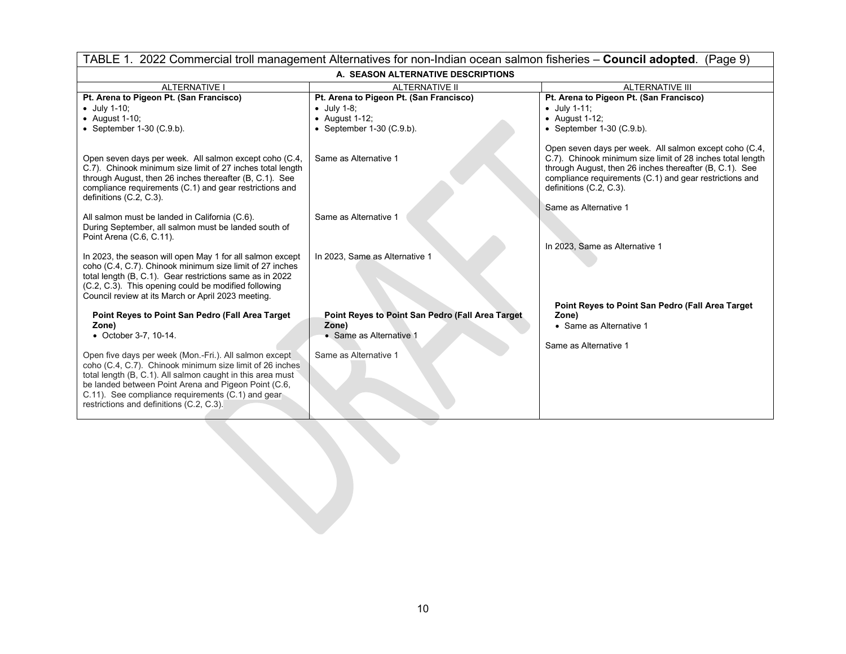| TABLE 1. 2022 Commercial troll management Alternatives for non-Indian ocean salmon fisheries - Council adopted. (Page 9)                                                                                                                                                                                                                                                                                                         |                                                                                                                |                                                                                                                                                                                                                                                                          |  |
|----------------------------------------------------------------------------------------------------------------------------------------------------------------------------------------------------------------------------------------------------------------------------------------------------------------------------------------------------------------------------------------------------------------------------------|----------------------------------------------------------------------------------------------------------------|--------------------------------------------------------------------------------------------------------------------------------------------------------------------------------------------------------------------------------------------------------------------------|--|
| A. SEASON ALTERNATIVE DESCRIPTIONS                                                                                                                                                                                                                                                                                                                                                                                               |                                                                                                                |                                                                                                                                                                                                                                                                          |  |
| <b>ALTERNATIVE I</b>                                                                                                                                                                                                                                                                                                                                                                                                             | <b>ALTERNATIVE II</b>                                                                                          | <b>ALTERNATIVE III</b>                                                                                                                                                                                                                                                   |  |
| Pt. Arena to Pigeon Pt. (San Francisco)                                                                                                                                                                                                                                                                                                                                                                                          | Pt. Arena to Pigeon Pt. (San Francisco)                                                                        | Pt. Arena to Pigeon Pt. (San Francisco)                                                                                                                                                                                                                                  |  |
| $\bullet$ July 1-10;                                                                                                                                                                                                                                                                                                                                                                                                             | $\bullet$ July 1-8;                                                                                            | $\bullet$ July 1-11;                                                                                                                                                                                                                                                     |  |
| $\bullet$ August 1-10;                                                                                                                                                                                                                                                                                                                                                                                                           | $\bullet$ August 1-12;                                                                                         | $\bullet$ August 1-12;                                                                                                                                                                                                                                                   |  |
| • September $1-30$ (C.9.b).                                                                                                                                                                                                                                                                                                                                                                                                      | • September $1-30$ (C.9.b).                                                                                    | • September $1-30$ (C.9.b).                                                                                                                                                                                                                                              |  |
| Open seven days per week. All salmon except coho (C.4,<br>C.7). Chinook minimum size limit of 27 inches total length<br>through August, then 26 inches thereafter (B, C.1). See<br>compliance requirements (C.1) and gear restrictions and<br>definitions (C.2, C.3).                                                                                                                                                            | Same as Alternative 1                                                                                          | Open seven days per week. All salmon except coho (C.4,<br>C.7). Chinook minimum size limit of 28 inches total length<br>through August, then 26 inches thereafter (B, C.1). See<br>compliance requirements (C.1) and gear restrictions and<br>definitions $(C.2, C.3)$ . |  |
| All salmon must be landed in California (C.6).<br>During September, all salmon must be landed south of<br>Point Arena (C.6, C.11).                                                                                                                                                                                                                                                                                               | Same as Alternative 1                                                                                          | Same as Alternative 1                                                                                                                                                                                                                                                    |  |
| In 2023, the season will open May 1 for all salmon except<br>coho (C.4, C.7). Chinook minimum size limit of 27 inches<br>total length (B, C.1). Gear restrictions same as in 2022<br>(C.2, C.3). This opening could be modified following<br>Council review at its March or April 2023 meeting.                                                                                                                                  | In 2023, Same as Alternative 1                                                                                 | In 2023. Same as Alternative 1                                                                                                                                                                                                                                           |  |
| Point Reyes to Point San Pedro (Fall Area Target)<br>Zone)<br>• October 3-7, 10-14.<br>Open five days per week (Mon.-Fri.). All salmon except<br>coho (C.4, C.7). Chinook minimum size limit of 26 inches<br>total length (B, C.1). All salmon caught in this area must<br>be landed between Point Arena and Pigeon Point (C.6,<br>C.11). See compliance requirements (C.1) and gear<br>restrictions and definitions (C.2, C.3). | Point Reyes to Point San Pedro (Fall Area Target)<br>Zone)<br>• Same as Alternative 1<br>Same as Alternative 1 | Point Reyes to Point San Pedro (Fall Area Target<br>Zone)<br>• Same as Alternative 1<br>Same as Alternative 1                                                                                                                                                            |  |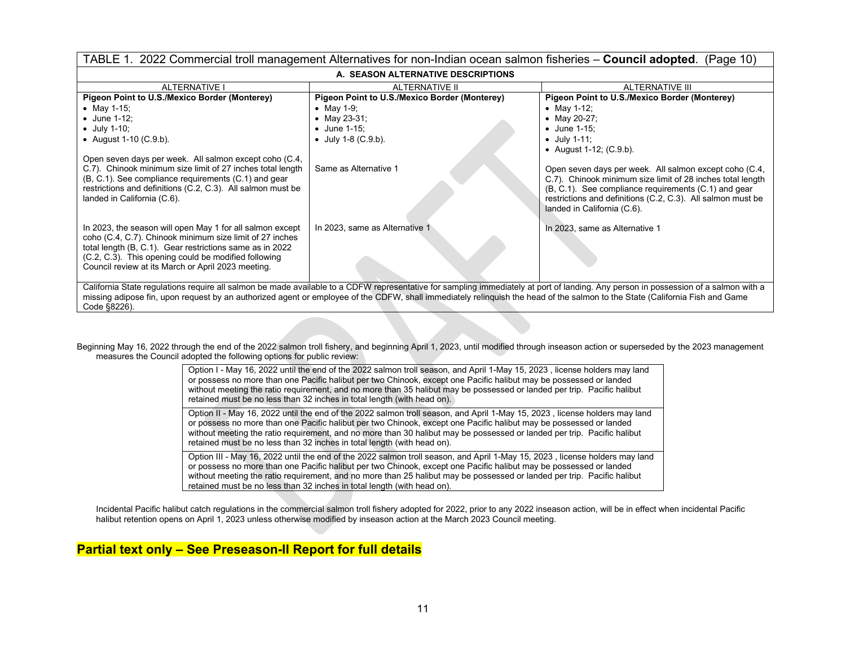| TABLE 1. 2022 Commercial troll management Alternatives for non-Indian ocean salmon fisheries - Council adopted. (Page 10)                                                                                                                                                                                                                                                           |                                               |                                                                                                                                                                                                                                                                            |
|-------------------------------------------------------------------------------------------------------------------------------------------------------------------------------------------------------------------------------------------------------------------------------------------------------------------------------------------------------------------------------------|-----------------------------------------------|----------------------------------------------------------------------------------------------------------------------------------------------------------------------------------------------------------------------------------------------------------------------------|
| A. SEASON ALTERNATIVE DESCRIPTIONS                                                                                                                                                                                                                                                                                                                                                  |                                               |                                                                                                                                                                                                                                                                            |
| <b>ALTERNATIVE I</b>                                                                                                                                                                                                                                                                                                                                                                | <b>ALTERNATIVE II</b>                         | ALTERNATIVE III                                                                                                                                                                                                                                                            |
| Pigeon Point to U.S./Mexico Border (Monterey)                                                                                                                                                                                                                                                                                                                                       | Pigeon Point to U.S./Mexico Border (Monterey) | Pigeon Point to U.S./Mexico Border (Monterey)                                                                                                                                                                                                                              |
| • May 1-15;                                                                                                                                                                                                                                                                                                                                                                         | • May 1-9;                                    | • May 1-12;                                                                                                                                                                                                                                                                |
| $\bullet$ June 1-12;                                                                                                                                                                                                                                                                                                                                                                | • May 23-31;                                  | • May 20-27;                                                                                                                                                                                                                                                               |
| $\bullet$ July 1-10;                                                                                                                                                                                                                                                                                                                                                                | • June 1-15;                                  | $\bullet$ June 1-15;                                                                                                                                                                                                                                                       |
| • August 1-10 $(C.9.b)$ .                                                                                                                                                                                                                                                                                                                                                           | • July 1-8 $(C.9.b)$ .                        | $\bullet$ July 1-11;                                                                                                                                                                                                                                                       |
|                                                                                                                                                                                                                                                                                                                                                                                     |                                               | • August 1-12; $(C.9.b)$ .                                                                                                                                                                                                                                                 |
| Open seven days per week. All salmon except coho (C.4,                                                                                                                                                                                                                                                                                                                              |                                               |                                                                                                                                                                                                                                                                            |
| C.7). Chinook minimum size limit of 27 inches total length<br>(B, C.1). See compliance requirements (C.1) and gear<br>restrictions and definitions (C.2, C.3). All salmon must be<br>landed in California (C.6).                                                                                                                                                                    | Same as Alternative 1                         | Open seven days per week. All salmon except coho (C.4,<br>C.7). Chinook minimum size limit of 28 inches total length<br>(B, C.1). See compliance requirements (C.1) and gear<br>restrictions and definitions (C.2, C.3). All salmon must be<br>landed in California (C.6). |
| In 2023, the season will open May 1 for all salmon except<br>coho (C.4, C.7). Chinook minimum size limit of 27 inches<br>total length (B, C.1). Gear restrictions same as in 2022<br>(C.2, C.3). This opening could be modified following<br>Council review at its March or April 2023 meeting.                                                                                     | In 2023, same as Alternative 1                | In 2023, same as Alternative 1                                                                                                                                                                                                                                             |
| California State regulations require all salmon be made available to a CDFW representative for sampling immediately at port of landing. Any person in possession of a salmon with a<br>missing adipose fin, upon request by an authorized agent or employee of the CDFW, shall immediately relinguish the head of the salmon to the State (California Fish and Game<br>Code §8226). |                                               |                                                                                                                                                                                                                                                                            |

Beginning May 16, 2022 through the end of the 2022 salmon troll fishery, and beginning April 1, 2023, until modified through inseason action or superseded by the 2023 management measures the Council adopted the following options for public review:

| Option I - May 16, 2022 until the end of the 2022 salmon troll season, and April 1-May 15, 2023, license holders may land<br>or possess no more than one Pacific halibut per two Chinook, except one Pacific halibut may be possessed or landed<br>without meeting the ratio requirement, and no more than 35 halibut may be possessed or landed per trip. Pacific halibut<br>retained must be no less than 32 inches in total length (with head on).   |
|---------------------------------------------------------------------------------------------------------------------------------------------------------------------------------------------------------------------------------------------------------------------------------------------------------------------------------------------------------------------------------------------------------------------------------------------------------|
| Option II - May 16, 2022 until the end of the 2022 salmon troll season, and April 1-May 15, 2023, license holders may land<br>or possess no more than one Pacific halibut per two Chinook, except one Pacific halibut may be possessed or landed<br>without meeting the ratio requirement, and no more than 30 halibut may be possessed or landed per trip. Pacific halibut<br>retained must be no less than 32 inches in total length (with head on).  |
| Option III - May 16, 2022 until the end of the 2022 salmon troll season, and April 1-May 15, 2023, license holders may land<br>or possess no more than one Pacific halibut per two Chinook, except one Pacific halibut may be possessed or landed<br>without meeting the ratio requirement, and no more than 25 halibut may be possessed or landed per trip. Pacific halibut<br>retained must be no less than 32 inches in total length (with head on). |

Incidental Pacific halibut catch regulations in the commercial salmon troll fishery adopted for 2022, prior to any 2022 inseason action, will be in effect when incidental Pacific halibut retention opens on April 1, 2023 unless otherwise modified by inseason action at the March 2023 Council meeting.

## **Partial text only – See Preseason-II Report for full details**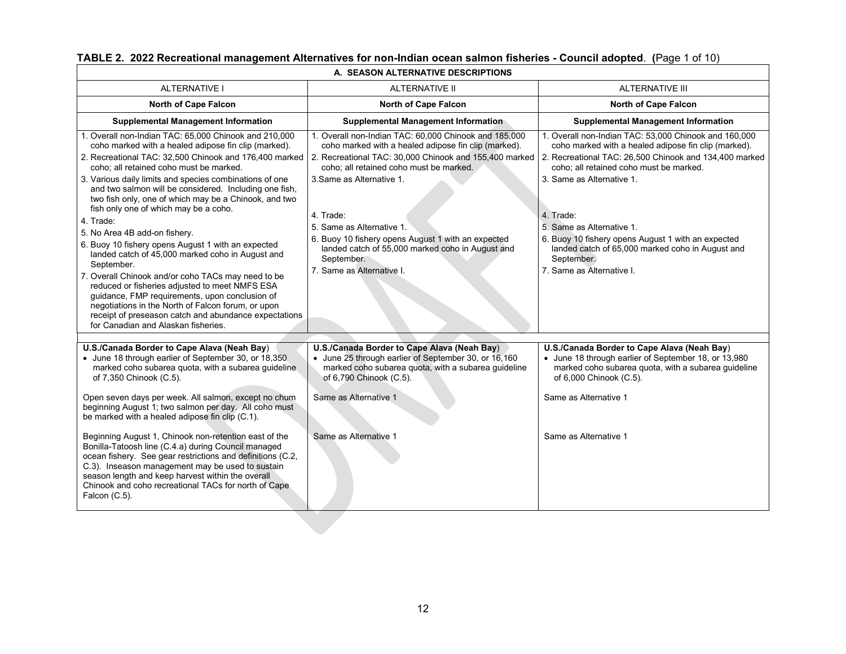| <b>ALTERNATIVE II</b><br><b>ALTERNATIVE I</b><br><b>ALTERNATIVE III</b><br><b>North of Cape Falcon</b><br><b>North of Cape Falcon</b><br><b>North of Cape Falcon</b><br><b>Supplemental Management Information</b><br><b>Supplemental Management Information</b><br><b>Supplemental Management Information</b><br>1. Overall non-Indian TAC: 65,000 Chinook and 210,000<br>1. Overall non-Indian TAC: 60,000 Chinook and 185,000<br>1. Overall non-Indian TAC: 53,000 Chinook and 160,000<br>coho marked with a healed adipose fin clip (marked).<br>coho marked with a healed adipose fin clip (marked).<br>coho marked with a healed adipose fin clip (marked).<br>2. Recreational TAC: 32,500 Chinook and 176,400 marked<br>2. Recreational TAC: 30,000 Chinook and 155,400 marked<br>coho; all retained coho must be marked.<br>coho; all retained coho must be marked.<br>coho; all retained coho must be marked.<br>3. Same as Alternative 1.<br>3. Same as Alternative 1.<br>3. Various daily limits and species combinations of one<br>and two salmon will be considered. Including one fish,<br>two fish only, one of which may be a Chinook, and two<br>fish only one of which may be a coho.<br>4. Trade:<br>4. Trade:<br>4. Trade:<br>5. Same as Alternative 1.<br>5. Same as Alternative 1.<br>5. No Area 4B add-on fishery.<br>6. Buoy 10 fishery opens August 1 with an expected<br>6. Buoy 10 fishery opens August 1 with an expected<br>6. Buoy 10 fishery opens August 1 with an expected<br>landed catch of 55,000 marked coho in August and<br>landed catch of 65,000 marked coho in August and<br>landed catch of 45,000 marked coho in August and<br>September.<br>September.<br>September.<br>7. Same as Alternative I.<br>7. Same as Alternative I.<br>7. Overall Chinook and/or coho TACs may need to be<br>reduced or fisheries adjusted to meet NMFS ESA<br>guidance, FMP requirements, upon conclusion of<br>negotiations in the North of Falcon forum, or upon<br>receipt of preseason catch and abundance expectations<br>for Canadian and Alaskan fisheries.<br>U.S./Canada Border to Cape Alava (Neah Bay)<br>U.S./Canada Border to Cape Alava (Neah Bay)<br>U.S./Canada Border to Cape Alava (Neah Bay)<br>• June 18 through earlier of September 30, or 18,350<br>• June 25 through earlier of September 30, or 16,160<br>• June 18 through earlier of September 18, or 13,980<br>marked coho subarea quota, with a subarea guideline<br>marked coho subarea quota, with a subarea guideline<br>marked coho subarea quota, with a subarea guideline<br>of 6,000 Chinook (C.5).<br>of 7,350 Chinook (C.5).<br>of 6,790 Chinook (C.5).<br>Open seven days per week. All salmon, except no chum<br>Same as Alternative 1<br>Same as Alternative 1<br>beginning August 1; two salmon per day. All coho must<br>be marked with a healed adipose fin clip (C.1).<br>Same as Alternative 1<br>Beginning August 1, Chinook non-retention east of the<br>Same as Alternative 1<br>Bonilla-Tatoosh line (C.4.a) during Council managed<br>ocean fishery. See gear restrictions and definitions (C.2,<br>C.3). Inseason management may be used to sustain<br>season length and keep harvest within the overall<br>Chinook and coho recreational TACs for north of Cape<br>Falcon (C.5). |  |  |
|----------------------------------------------------------------------------------------------------------------------------------------------------------------------------------------------------------------------------------------------------------------------------------------------------------------------------------------------------------------------------------------------------------------------------------------------------------------------------------------------------------------------------------------------------------------------------------------------------------------------------------------------------------------------------------------------------------------------------------------------------------------------------------------------------------------------------------------------------------------------------------------------------------------------------------------------------------------------------------------------------------------------------------------------------------------------------------------------------------------------------------------------------------------------------------------------------------------------------------------------------------------------------------------------------------------------------------------------------------------------------------------------------------------------------------------------------------------------------------------------------------------------------------------------------------------------------------------------------------------------------------------------------------------------------------------------------------------------------------------------------------------------------------------------------------------------------------------------------------------------------------------------------------------------------------------------------------------------------------------------------------------------------------------------------------------------------------------------------------------------------------------------------------------------------------------------------------------------------------------------------------------------------------------------------------------------------------------------------------------------------------------------------------------------------------------------------------------------------------------------------------------------------------------------------------------------------------------------------------------------------------------------------------------------------------------------------------------------------------------------------------------------------------------------------------------------------------------------------------------------------------------------------------------------------------------------------------------------------------------------------------------------------------------------------------------------------------------------------------------------------------------------------------------------------------------------------------------------------------------------------------------------------------------------------------------|--|--|
|                                                                                                                                                                                                                                                                                                                                                                                                                                                                                                                                                                                                                                                                                                                                                                                                                                                                                                                                                                                                                                                                                                                                                                                                                                                                                                                                                                                                                                                                                                                                                                                                                                                                                                                                                                                                                                                                                                                                                                                                                                                                                                                                                                                                                                                                                                                                                                                                                                                                                                                                                                                                                                                                                                                                                                                                                                                                                                                                                                                                                                                                                                                                                                                                                                                                                                                |  |  |
| 2. Recreational TAC: 26,500 Chinook and 134,400 marked                                                                                                                                                                                                                                                                                                                                                                                                                                                                                                                                                                                                                                                                                                                                                                                                                                                                                                                                                                                                                                                                                                                                                                                                                                                                                                                                                                                                                                                                                                                                                                                                                                                                                                                                                                                                                                                                                                                                                                                                                                                                                                                                                                                                                                                                                                                                                                                                                                                                                                                                                                                                                                                                                                                                                                                                                                                                                                                                                                                                                                                                                                                                                                                                                                                         |  |  |
|                                                                                                                                                                                                                                                                                                                                                                                                                                                                                                                                                                                                                                                                                                                                                                                                                                                                                                                                                                                                                                                                                                                                                                                                                                                                                                                                                                                                                                                                                                                                                                                                                                                                                                                                                                                                                                                                                                                                                                                                                                                                                                                                                                                                                                                                                                                                                                                                                                                                                                                                                                                                                                                                                                                                                                                                                                                                                                                                                                                                                                                                                                                                                                                                                                                                                                                |  |  |
|                                                                                                                                                                                                                                                                                                                                                                                                                                                                                                                                                                                                                                                                                                                                                                                                                                                                                                                                                                                                                                                                                                                                                                                                                                                                                                                                                                                                                                                                                                                                                                                                                                                                                                                                                                                                                                                                                                                                                                                                                                                                                                                                                                                                                                                                                                                                                                                                                                                                                                                                                                                                                                                                                                                                                                                                                                                                                                                                                                                                                                                                                                                                                                                                                                                                                                                |  |  |
|                                                                                                                                                                                                                                                                                                                                                                                                                                                                                                                                                                                                                                                                                                                                                                                                                                                                                                                                                                                                                                                                                                                                                                                                                                                                                                                                                                                                                                                                                                                                                                                                                                                                                                                                                                                                                                                                                                                                                                                                                                                                                                                                                                                                                                                                                                                                                                                                                                                                                                                                                                                                                                                                                                                                                                                                                                                                                                                                                                                                                                                                                                                                                                                                                                                                                                                |  |  |

## **TABLE 2. 2022 Recreational management Alternatives for non-Indian ocean salmon fisheries - Council adopted**. **(**Page 1 of 10)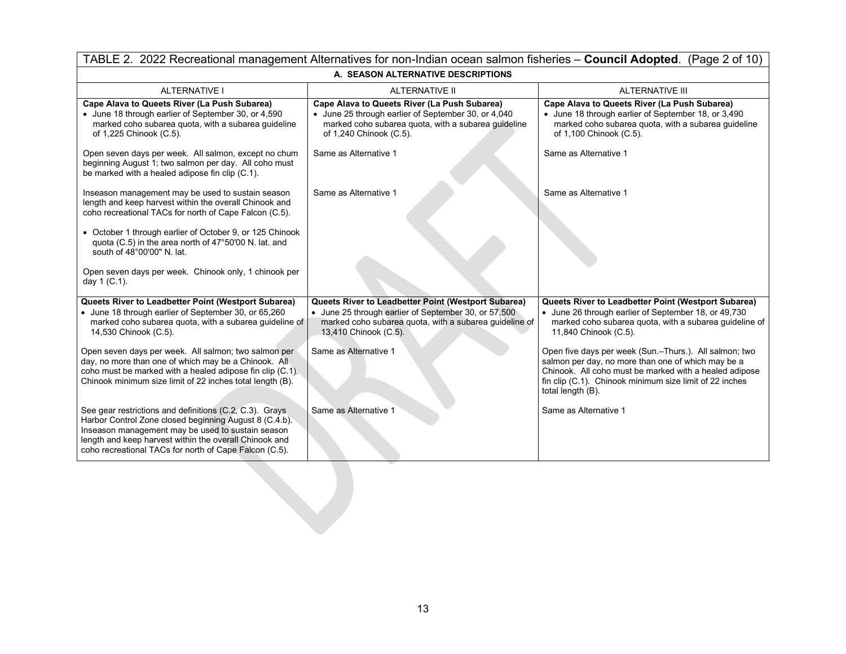| TABLE 2. 2022 Recreational management Alternatives for non-Indian ocean salmon fisheries - Council Adopted. (Page 2 of 10)                                                                                                                                                                 |                                                                                                                                                                                                |                                                                                                                                                                                                                                                        |  |  |  |  |  |  |  |  |
|--------------------------------------------------------------------------------------------------------------------------------------------------------------------------------------------------------------------------------------------------------------------------------------------|------------------------------------------------------------------------------------------------------------------------------------------------------------------------------------------------|--------------------------------------------------------------------------------------------------------------------------------------------------------------------------------------------------------------------------------------------------------|--|--|--|--|--|--|--|--|
| A. SEASON ALTERNATIVE DESCRIPTIONS                                                                                                                                                                                                                                                         |                                                                                                                                                                                                |                                                                                                                                                                                                                                                        |  |  |  |  |  |  |  |  |
| <b>ALTERNATIVE I</b>                                                                                                                                                                                                                                                                       | <b>ALTERNATIVE II</b>                                                                                                                                                                          | <b>ALTERNATIVE III</b>                                                                                                                                                                                                                                 |  |  |  |  |  |  |  |  |
| Cape Alava to Queets River (La Push Subarea)<br>• June 18 through earlier of September 30, or 4,590<br>marked coho subarea quota, with a subarea guideline<br>of 1,225 Chinook (C.5).                                                                                                      | Cape Alava to Queets River (La Push Subarea)<br>• June 25 through earlier of September 30, or 4,040<br>marked coho subarea quota, with a subarea guideline<br>of 1,240 Chinook (C.5).          | Cape Alava to Queets River (La Push Subarea)<br>• June 18 through earlier of September 18, or 3,490<br>marked coho subarea quota, with a subarea guideline<br>of 1,100 Chinook (C.5).                                                                  |  |  |  |  |  |  |  |  |
| Open seven days per week. All salmon, except no chum<br>beginning August 1; two salmon per day. All coho must<br>be marked with a healed adipose fin clip (C.1).                                                                                                                           | Same as Alternative 1                                                                                                                                                                          | Same as Alternative 1                                                                                                                                                                                                                                  |  |  |  |  |  |  |  |  |
| Inseason management may be used to sustain season<br>length and keep harvest within the overall Chinook and<br>coho recreational TACs for north of Cape Falcon (C.5).                                                                                                                      | Same as Alternative 1                                                                                                                                                                          | Same as Alternative 1                                                                                                                                                                                                                                  |  |  |  |  |  |  |  |  |
| • October 1 through earlier of October 9, or 125 Chinook<br>quota (C.5) in the area north of 47°50'00 N. lat. and<br>south of 48°00'00" N. lat.                                                                                                                                            |                                                                                                                                                                                                |                                                                                                                                                                                                                                                        |  |  |  |  |  |  |  |  |
| Open seven days per week. Chinook only, 1 chinook per<br>day 1 (C.1).                                                                                                                                                                                                                      |                                                                                                                                                                                                |                                                                                                                                                                                                                                                        |  |  |  |  |  |  |  |  |
| Queets River to Leadbetter Point (Westport Subarea)<br>• June 18 through earlier of September 30, or 65,260<br>marked coho subarea quota, with a subarea guideline of<br>14,530 Chinook (C.5).                                                                                             | Queets River to Leadbetter Point (Westport Subarea)<br>• June 25 through earlier of September 30, or 57,500<br>marked coho subarea quota, with a subarea guideline of<br>13,410 Chinook (C.5). | Queets River to Leadbetter Point (Westport Subarea)<br>• June 26 through earlier of September 18, or 49,730<br>marked coho subarea quota, with a subarea guideline of<br>11,840 Chinook (C.5).                                                         |  |  |  |  |  |  |  |  |
| Open seven days per week. All salmon; two salmon per<br>day, no more than one of which may be a Chinook. All<br>coho must be marked with a healed adipose fin clip (C.1).<br>Chinook minimum size limit of 22 inches total length (B).                                                     | Same as Alternative 1                                                                                                                                                                          | Open five days per week (Sun.-Thurs.). All salmon; two<br>salmon per day, no more than one of which may be a<br>Chinook. All coho must be marked with a healed adipose<br>fin clip (C.1). Chinook minimum size limit of 22 inches<br>total length (B). |  |  |  |  |  |  |  |  |
| See gear restrictions and definitions (C.2, C.3). Grays<br>Harbor Control Zone closed beginning August 8 (C.4.b).<br>Inseason management may be used to sustain season<br>length and keep harvest within the overall Chinook and<br>coho recreational TACs for north of Cape Falcon (C.5). | Same as Alternative 1                                                                                                                                                                          | Same as Alternative 1                                                                                                                                                                                                                                  |  |  |  |  |  |  |  |  |
|                                                                                                                                                                                                                                                                                            |                                                                                                                                                                                                |                                                                                                                                                                                                                                                        |  |  |  |  |  |  |  |  |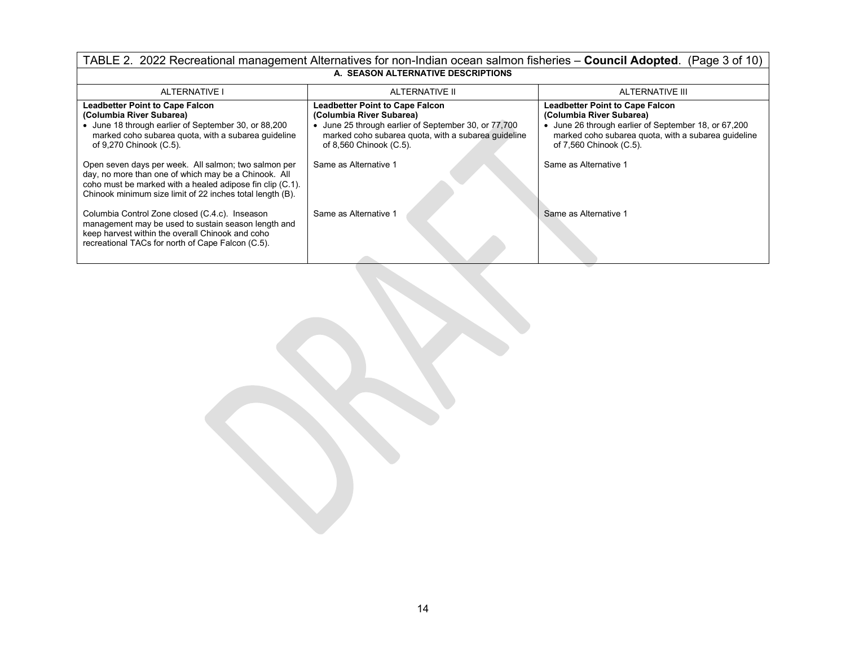| TABLE 2. 2022 Recreational management Alternatives for non-Indian ocean salmon fisheries – Council Adopted. (Page 3 of 10)                                                                                                             |                                                                                                                                                                                                            |                                                                                                                                                                                                              |  |  |  |  |  |  |  |  |
|----------------------------------------------------------------------------------------------------------------------------------------------------------------------------------------------------------------------------------------|------------------------------------------------------------------------------------------------------------------------------------------------------------------------------------------------------------|--------------------------------------------------------------------------------------------------------------------------------------------------------------------------------------------------------------|--|--|--|--|--|--|--|--|
| A. SEASON ALTERNATIVE DESCRIPTIONS                                                                                                                                                                                                     |                                                                                                                                                                                                            |                                                                                                                                                                                                              |  |  |  |  |  |  |  |  |
| <b>ALTERNATIVE</b>                                                                                                                                                                                                                     | ALTERNATIVE II                                                                                                                                                                                             | ALTERNATIVE III                                                                                                                                                                                              |  |  |  |  |  |  |  |  |
| <b>Leadbetter Point to Cape Falcon</b><br>(Columbia River Subarea)<br>• June 18 through earlier of September 30, or 88,200<br>marked coho subarea quota, with a subarea guideline<br>of 9,270 Chinook (C.5).                           | <b>Leadbetter Point to Cape Falcon</b><br>(Columbia River Subarea)<br>June 25 through earlier of September 30, or 77,700<br>marked coho subarea quota, with a subarea quideline<br>of 8,560 Chinook (C.5). | <b>Leadbetter Point to Cape Falcon</b><br>(Columbia River Subarea)<br>• June 26 through earlier of September 18, or 67,200<br>marked coho subarea quota, with a subarea guideline<br>of 7,560 Chinook (C.5). |  |  |  |  |  |  |  |  |
| Open seven days per week. All salmon; two salmon per<br>day, no more than one of which may be a Chinook. All<br>coho must be marked with a healed adipose fin clip (C.1).<br>Chinook minimum size limit of 22 inches total length (B). | Same as Alternative 1                                                                                                                                                                                      | Same as Alternative 1                                                                                                                                                                                        |  |  |  |  |  |  |  |  |
| Columbia Control Zone closed (C.4.c). Inseason<br>management may be used to sustain season length and<br>keep harvest within the overall Chinook and coho<br>recreational TACs for north of Cape Falcon (C.5).                         | Same as Alternative 1                                                                                                                                                                                      | Same as Alternative 1                                                                                                                                                                                        |  |  |  |  |  |  |  |  |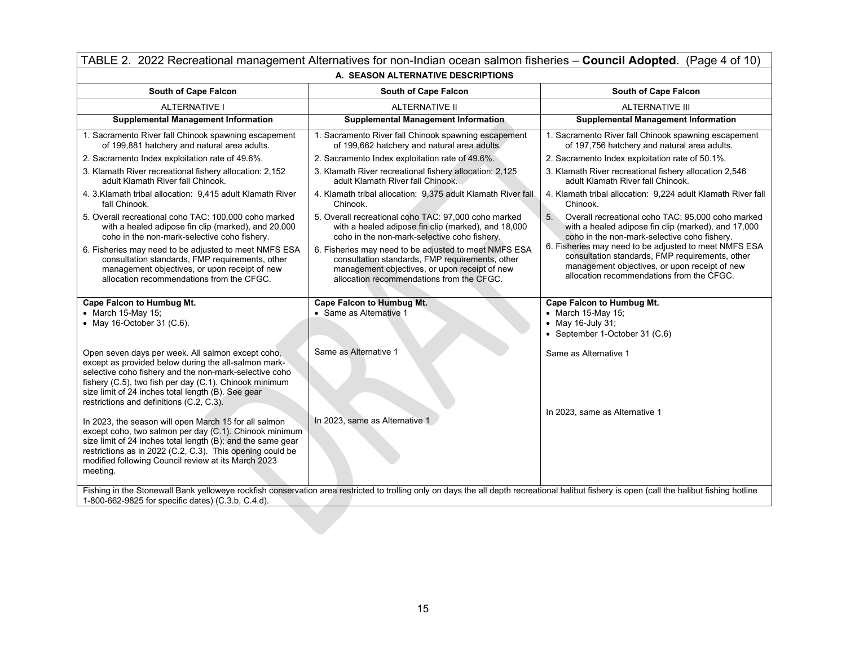| TABLE 2. 2022 Recreational management Alternatives for non-Indian ocean salmon fisheries - Council Adopted. (Page 4 of 10)                                                                                                                                                                                                      |                                                                                                                                                                                                        |                                                                                                                                                                                                        |  |  |  |  |  |  |
|---------------------------------------------------------------------------------------------------------------------------------------------------------------------------------------------------------------------------------------------------------------------------------------------------------------------------------|--------------------------------------------------------------------------------------------------------------------------------------------------------------------------------------------------------|--------------------------------------------------------------------------------------------------------------------------------------------------------------------------------------------------------|--|--|--|--|--|--|
| A. SEASON ALTERNATIVE DESCRIPTIONS                                                                                                                                                                                                                                                                                              |                                                                                                                                                                                                        |                                                                                                                                                                                                        |  |  |  |  |  |  |
| <b>South of Cape Falcon</b>                                                                                                                                                                                                                                                                                                     | South of Cape Falcon                                                                                                                                                                                   | <b>South of Cape Falcon</b>                                                                                                                                                                            |  |  |  |  |  |  |
| <b>ALTERNATIVE I</b>                                                                                                                                                                                                                                                                                                            | <b>ALTERNATIVE II</b>                                                                                                                                                                                  | <b>ALTERNATIVE III</b>                                                                                                                                                                                 |  |  |  |  |  |  |
| <b>Supplemental Management Information</b>                                                                                                                                                                                                                                                                                      | <b>Supplemental Management Information</b>                                                                                                                                                             | <b>Supplemental Management Information</b>                                                                                                                                                             |  |  |  |  |  |  |
| 1. Sacramento River fall Chinook spawning escapement<br>of 199,881 hatchery and natural area adults.                                                                                                                                                                                                                            | 1. Sacramento River fall Chinook spawning escapement<br>of 199,662 hatchery and natural area adults.                                                                                                   | 1. Sacramento River fall Chinook spawning escapement<br>of 197,756 hatchery and natural area adults.                                                                                                   |  |  |  |  |  |  |
| 2. Sacramento Index exploitation rate of 49.6%.                                                                                                                                                                                                                                                                                 | 2. Sacramento Index exploitation rate of 49.6%.                                                                                                                                                        | 2. Sacramento Index exploitation rate of 50.1%.                                                                                                                                                        |  |  |  |  |  |  |
| 3. Klamath River recreational fishery allocation: 2,152<br>adult Klamath River fall Chinook.                                                                                                                                                                                                                                    | 3. Klamath River recreational fishery allocation: 2,125<br>adult Klamath River fall Chinook.                                                                                                           | 3. Klamath River recreational fishery allocation 2,546<br>adult Klamath River fall Chinook.                                                                                                            |  |  |  |  |  |  |
| 4. 3. Klamath tribal allocation: 9,415 adult Klamath River<br>fall Chinook.                                                                                                                                                                                                                                                     | 4. Klamath tribal allocation: 9,375 adult Klamath River fall<br>Chinook.                                                                                                                               | 4. Klamath tribal allocation: 9,224 adult Klamath River fall<br>Chinook.                                                                                                                               |  |  |  |  |  |  |
| 5. Overall recreational coho TAC: 100,000 coho marked<br>with a healed adipose fin clip (marked), and 20,000<br>coho in the non-mark-selective coho fishery.                                                                                                                                                                    | 5. Overall recreational coho TAC: 97,000 coho marked<br>with a healed adipose fin clip (marked), and 18,000<br>coho in the non-mark-selective coho fishery.                                            | 5.<br>Overall recreational coho TAC: 95,000 coho marked<br>with a healed adipose fin clip (marked), and 17,000<br>coho in the non-mark-selective coho fishery.                                         |  |  |  |  |  |  |
| 6. Fisheries may need to be adjusted to meet NMFS ESA<br>consultation standards, FMP requirements, other<br>management objectives, or upon receipt of new<br>allocation recommendations from the CFGC.                                                                                                                          | 6. Fisheries may need to be adjusted to meet NMFS ESA<br>consultation standards, FMP requirements, other<br>management objectives, or upon receipt of new<br>allocation recommendations from the CFGC. | 6. Fisheries may need to be adjusted to meet NMFS ESA<br>consultation standards, FMP requirements, other<br>management objectives, or upon receipt of new<br>allocation recommendations from the CFGC. |  |  |  |  |  |  |
| <b>Cape Falcon to Humbug Mt.</b><br>• March 15-May 15;<br>• May 16-October 31 (C.6).                                                                                                                                                                                                                                            | <b>Cape Falcon to Humbug Mt.</b><br>• Same as Alternative 1                                                                                                                                            | Cape Falcon to Humbug Mt.<br>• March 15-May 15;<br>• May 16-July 31;<br>• September 1-October 31 (C.6)                                                                                                 |  |  |  |  |  |  |
| Open seven days per week. All salmon except coho,<br>except as provided below during the all-salmon mark-<br>selective coho fishery and the non-mark-selective coho<br>fishery (C.5), two fish per day (C.1). Chinook minimum<br>size limit of 24 inches total length (B). See gear<br>restrictions and definitions (C.2, C.3). | Same as Alternative 1                                                                                                                                                                                  | Same as Alternative 1<br>In 2023, same as Alternative 1                                                                                                                                                |  |  |  |  |  |  |
| In 2023, the season will open March 15 for all salmon<br>except coho, two salmon per day (C.1). Chinook minimum<br>size limit of 24 inches total length (B); and the same gear<br>restrictions as in 2022 (C.2, C.3). This opening could be<br>modified following Council review at its March 2023<br>meeting.                  | In 2023, same as Alternative 1                                                                                                                                                                         |                                                                                                                                                                                                        |  |  |  |  |  |  |
| 1-800-662-9825 for specific dates) (C.3.b, C.4.d).                                                                                                                                                                                                                                                                              | Fishing in the Stonewall Bank yelloweye rockfish conservation area restricted to trolling only on days the all depth recreational halibut fishery is open (call the halibut fishing hotline            |                                                                                                                                                                                                        |  |  |  |  |  |  |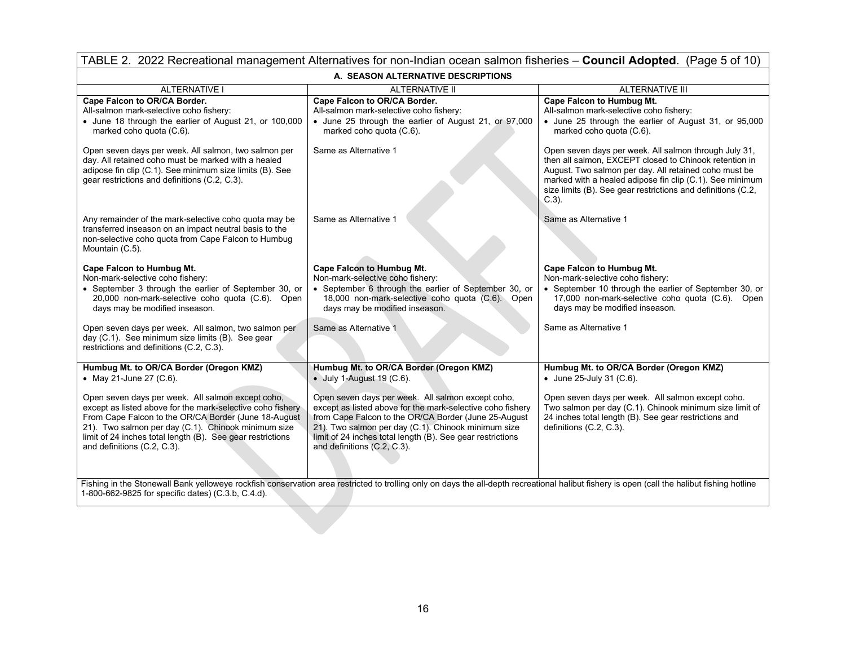| TABLE 2. 2022 Recreational management Alternatives for non-Indian ocean salmon fisheries - Council Adopted. (Page 5 of 10)                                                                                                                                                                                                  |                                                                                                                                                                                                                                                                                                                             |                                                                                                                                                                                                                                                                                                                  |  |  |  |  |  |  |  |
|-----------------------------------------------------------------------------------------------------------------------------------------------------------------------------------------------------------------------------------------------------------------------------------------------------------------------------|-----------------------------------------------------------------------------------------------------------------------------------------------------------------------------------------------------------------------------------------------------------------------------------------------------------------------------|------------------------------------------------------------------------------------------------------------------------------------------------------------------------------------------------------------------------------------------------------------------------------------------------------------------|--|--|--|--|--|--|--|
| A. SEASON ALTERNATIVE DESCRIPTIONS                                                                                                                                                                                                                                                                                          |                                                                                                                                                                                                                                                                                                                             |                                                                                                                                                                                                                                                                                                                  |  |  |  |  |  |  |  |
| <b>ALTERNATIVE I</b><br>ALTERNATIVE II<br><b>ALTERNATIVE III</b>                                                                                                                                                                                                                                                            |                                                                                                                                                                                                                                                                                                                             |                                                                                                                                                                                                                                                                                                                  |  |  |  |  |  |  |  |
| Cape Falcon to OR/CA Border.<br>All-salmon mark-selective coho fishery:<br>• June 18 through the earlier of August 21, or 100,000<br>marked coho quota (C.6).                                                                                                                                                               | Cape Falcon to OR/CA Border.<br>All-salmon mark-selective coho fishery:<br>• June 25 through the earlier of August 21, or 97,000<br>marked coho quota (C.6).                                                                                                                                                                | Cape Falcon to Humbug Mt.<br>All-salmon mark-selective coho fishery:<br>• June 25 through the earlier of August 31, or 95,000<br>marked coho quota (C.6).                                                                                                                                                        |  |  |  |  |  |  |  |
| Open seven days per week. All salmon, two salmon per<br>day. All retained coho must be marked with a healed<br>adipose fin clip (C.1). See minimum size limits (B). See<br>gear restrictions and definitions (C.2, C.3).                                                                                                    | Same as Alternative 1                                                                                                                                                                                                                                                                                                       | Open seven days per week. All salmon through July 31,<br>then all salmon, EXCEPT closed to Chinook retention in<br>August. Two salmon per day. All retained coho must be<br>marked with a healed adipose fin clip (C.1). See minimum<br>size limits (B). See gear restrictions and definitions (C.2,<br>$C.3$ ). |  |  |  |  |  |  |  |
| Any remainder of the mark-selective coho quota may be<br>transferred inseason on an impact neutral basis to the<br>non-selective coho quota from Cape Falcon to Humbug<br>Mountain (C.5).                                                                                                                                   | Same as Alternative 1                                                                                                                                                                                                                                                                                                       | Same as Alternative 1                                                                                                                                                                                                                                                                                            |  |  |  |  |  |  |  |
| Cape Falcon to Humbug Mt.<br>Non-mark-selective coho fishery:<br>• September 3 through the earlier of September 30, or<br>20,000 non-mark-selective coho quota (C.6). Open<br>days may be modified inseason.<br>Open seven days per week. All salmon, two salmon per                                                        | <b>Cape Falcon to Humbug Mt.</b><br>Non-mark-selective coho fishery:<br>• September 6 through the earlier of September 30, or<br>18,000 non-mark-selective coho quota (C.6). Open<br>days may be modified inseason.<br>Same as Alternative 1                                                                                | <b>Cape Falcon to Humbug Mt.</b><br>Non-mark-selective coho fishery:<br>• September 10 through the earlier of September 30, or<br>17,000 non-mark-selective coho quota (C.6). Open<br>days may be modified inseason.<br>Same as Alternative 1                                                                    |  |  |  |  |  |  |  |
| day (C.1). See minimum size limits (B). See gear<br>restrictions and definitions (C.2, C.3).                                                                                                                                                                                                                                |                                                                                                                                                                                                                                                                                                                             |                                                                                                                                                                                                                                                                                                                  |  |  |  |  |  |  |  |
| Humbug Mt. to OR/CA Border (Oregon KMZ)<br>• May 21-June 27 (C.6).                                                                                                                                                                                                                                                          | Humbug Mt. to OR/CA Border (Oregon KMZ)<br>• July 1-August 19 (C.6).                                                                                                                                                                                                                                                        | Humbug Mt. to OR/CA Border (Oregon KMZ)<br>• June 25-July 31 (C.6).                                                                                                                                                                                                                                              |  |  |  |  |  |  |  |
| Open seven days per week. All salmon except coho,<br>except as listed above for the mark-selective coho fishery<br>From Cape Falcon to the OR/CA Border (June 18-August<br>21). Two salmon per day (C.1). Chinook minimum size<br>limit of 24 inches total length (B). See gear restrictions<br>and definitions (C.2, C.3). | Open seven days per week. All salmon except coho,<br>except as listed above for the mark-selective coho fishery<br>from Cape Falcon to the OR/CA Border (June 25-August<br>21). Two salmon per day (C.1). Chinook minimum size<br>limit of 24 inches total length (B). See gear restrictions<br>and definitions (C.2, C.3). | Open seven days per week. All salmon except coho.<br>Two salmon per day (C.1). Chinook minimum size limit of<br>24 inches total length (B). See gear restrictions and<br>definitions (C.2, C.3).                                                                                                                 |  |  |  |  |  |  |  |
| 1-800-662-9825 for specific dates) (C.3.b, C.4.d).                                                                                                                                                                                                                                                                          | Fishing in the Stonewall Bank yelloweye rockfish conservation area restricted to trolling only on days the all-depth recreational halibut fishery is open (call the halibut fishing hotline                                                                                                                                 |                                                                                                                                                                                                                                                                                                                  |  |  |  |  |  |  |  |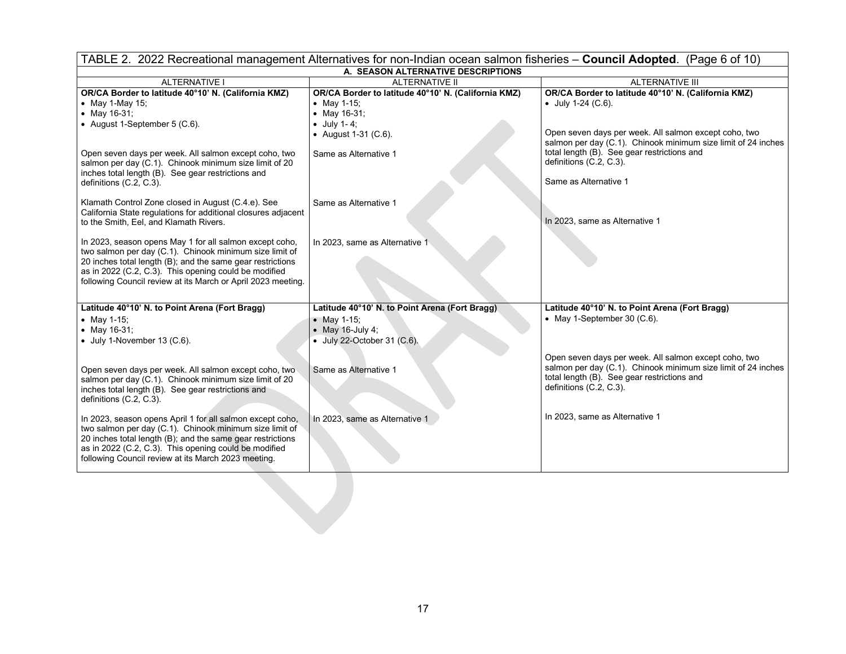|                                                                                                                                                                                                                                                                                                           | TABLE 2. 2022 Recreational management Alternatives for non-Indian ocean salmon fisheries - Council Adopted. (Page 6 of 10) |                                                                                                                                                                                                  |  |  |  |
|-----------------------------------------------------------------------------------------------------------------------------------------------------------------------------------------------------------------------------------------------------------------------------------------------------------|----------------------------------------------------------------------------------------------------------------------------|--------------------------------------------------------------------------------------------------------------------------------------------------------------------------------------------------|--|--|--|
|                                                                                                                                                                                                                                                                                                           | A. SEASON ALTERNATIVE DESCRIPTIONS                                                                                         |                                                                                                                                                                                                  |  |  |  |
| <b>ALTERNATIVE I</b>                                                                                                                                                                                                                                                                                      | <b>ALTERNATIVE II</b>                                                                                                      | <b>ALTERNATIVE III</b>                                                                                                                                                                           |  |  |  |
| OR/CA Border to latitude 40°10' N. (California KMZ)<br>• May 1-May 15;                                                                                                                                                                                                                                    | OR/CA Border to latitude 40°10' N. (California KMZ)<br>• May 1-15;                                                         | OR/CA Border to latitude 40°10' N. (California KMZ)<br>$\bullet$ July 1-24 (C.6).                                                                                                                |  |  |  |
| • May $16-31$ ;<br>• August 1-September 5 (C.6).                                                                                                                                                                                                                                                          | • May 16-31;<br>$\bullet$ July 1-4;<br>• August 1-31 (C.6).                                                                | Open seven days per week. All salmon except coho, two<br>salmon per day (C.1). Chinook minimum size limit of 24 inches                                                                           |  |  |  |
| Open seven days per week. All salmon except coho, two<br>salmon per day (C.1). Chinook minimum size limit of 20<br>inches total length (B). See gear restrictions and                                                                                                                                     | Same as Alternative 1                                                                                                      | total length (B). See gear restrictions and<br>definitions (C.2, C.3).                                                                                                                           |  |  |  |
| definitions (C.2, C.3).                                                                                                                                                                                                                                                                                   |                                                                                                                            | Same as Alternative 1                                                                                                                                                                            |  |  |  |
| Klamath Control Zone closed in August (C.4.e). See<br>California State regulations for additional closures adjacent<br>to the Smith, Eel, and Klamath Rivers.                                                                                                                                             | Same as Alternative 1                                                                                                      | In 2023, same as Alternative 1                                                                                                                                                                   |  |  |  |
| In 2023, season opens May 1 for all salmon except coho,<br>two salmon per day (C.1). Chinook minimum size limit of<br>20 inches total length (B); and the same gear restrictions<br>as in 2022 (C.2, C.3). This opening could be modified<br>following Council review at its March or April 2023 meeting. | In 2023, same as Alternative 1                                                                                             |                                                                                                                                                                                                  |  |  |  |
| Latitude 40°10' N. to Point Arena (Fort Bragg)                                                                                                                                                                                                                                                            | Latitude 40°10' N. to Point Arena (Fort Bragg)                                                                             | Latitude 40°10' N. to Point Arena (Fort Bragg)                                                                                                                                                   |  |  |  |
| • May 1-15;                                                                                                                                                                                                                                                                                               | • May 1-15;                                                                                                                | • May 1-September 30 $(C.6)$ .                                                                                                                                                                   |  |  |  |
| • May 16-31;                                                                                                                                                                                                                                                                                              | $\bullet$ May 16-July 4;                                                                                                   |                                                                                                                                                                                                  |  |  |  |
| $\bullet$ July 1-November 13 (C.6).                                                                                                                                                                                                                                                                       | • July 22-October 31 (C.6).                                                                                                |                                                                                                                                                                                                  |  |  |  |
| Open seven days per week. All salmon except coho, two<br>salmon per day (C.1). Chinook minimum size limit of 20<br>inches total length (B). See gear restrictions and<br>definitions (C.2, C.3).                                                                                                          | Same as Alternative 1                                                                                                      | Open seven days per week. All salmon except coho, two<br>salmon per day (C.1). Chinook minimum size limit of 24 inches<br>total length (B). See gear restrictions and<br>definitions (C.2, C.3). |  |  |  |
| In 2023, season opens April 1 for all salmon except coho,<br>two salmon per day (C.1). Chinook minimum size limit of<br>20 inches total length (B); and the same gear restrictions<br>as in 2022 (C.2, C.3). This opening could be modified<br>following Council review at its March 2023 meeting.        | In 2023, same as Alternative 1                                                                                             | In 2023, same as Alternative 1                                                                                                                                                                   |  |  |  |
|                                                                                                                                                                                                                                                                                                           |                                                                                                                            |                                                                                                                                                                                                  |  |  |  |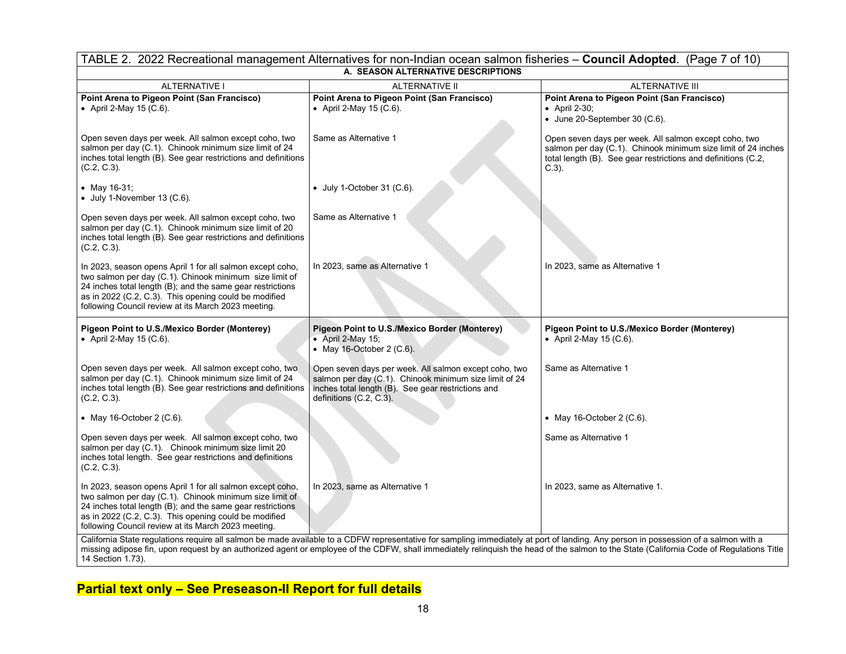| TABLE 2. 2022 Recreational management Alternatives for non-Indian ocean salmon fisheries - Council Adopted. (Page 7 of 10)                                                                                                                                                                         |                                                                                                                                                                                                  |                                                                                                                                                                                                     |  |  |  |  |  |
|----------------------------------------------------------------------------------------------------------------------------------------------------------------------------------------------------------------------------------------------------------------------------------------------------|--------------------------------------------------------------------------------------------------------------------------------------------------------------------------------------------------|-----------------------------------------------------------------------------------------------------------------------------------------------------------------------------------------------------|--|--|--|--|--|
|                                                                                                                                                                                                                                                                                                    | A. SEASON ALTERNATIVE DESCRIPTIONS                                                                                                                                                               |                                                                                                                                                                                                     |  |  |  |  |  |
| <b>ALTERNATIVE I</b>                                                                                                                                                                                                                                                                               | <b>ALTERNATIVE III</b><br><b>ALTERNATIVE II</b>                                                                                                                                                  |                                                                                                                                                                                                     |  |  |  |  |  |
| Point Arena to Pigeon Point (San Francisco)<br>• April 2-May 15 (C.6).                                                                                                                                                                                                                             | Point Arena to Pigeon Point (San Francisco)<br>• April 2-May 15 (C.6).                                                                                                                           | Point Arena to Pigeon Point (San Francisco)<br>• April 2-30;<br>$\bullet$ June 20-September 30 (C.6).                                                                                               |  |  |  |  |  |
| Open seven days per week. All salmon except coho, two<br>salmon per day (C.1). Chinook minimum size limit of 24<br>inches total length (B). See gear restrictions and definitions<br>$(C.2, C.3)$ .                                                                                                | Same as Alternative 1                                                                                                                                                                            | Open seven days per week. All salmon except coho, two<br>salmon per day (C.1). Chinook minimum size limit of 24 inches<br>total length (B). See gear restrictions and definitions (C.2,<br>$C.3$ ). |  |  |  |  |  |
| • May 16-31;<br>$\bullet$ July 1-November 13 (C.6).                                                                                                                                                                                                                                                | $\bullet$ July 1-October 31 (C.6).                                                                                                                                                               |                                                                                                                                                                                                     |  |  |  |  |  |
| Open seven days per week. All salmon except coho, two<br>salmon per day (C.1). Chinook minimum size limit of 20<br>inches total length (B). See gear restrictions and definitions<br>$(C.2, C.3)$ .                                                                                                | Same as Alternative 1                                                                                                                                                                            |                                                                                                                                                                                                     |  |  |  |  |  |
| In 2023, season opens April 1 for all salmon except coho,<br>two salmon per day (C.1). Chinook minimum size limit of<br>24 inches total length (B); and the same gear restrictions<br>as in 2022 (C.2, C.3). This opening could be modified<br>following Council review at its March 2023 meeting. | In 2023, same as Alternative 1                                                                                                                                                                   | In 2023, same as Alternative 1                                                                                                                                                                      |  |  |  |  |  |
| Pigeon Point to U.S./Mexico Border (Monterey)<br>• April 2-May 15 (C.6).                                                                                                                                                                                                                           | Pigeon Point to U.S./Mexico Border (Monterey)<br>• April 2-May 15;<br>• May 16-October 2 (C.6).                                                                                                  | Pigeon Point to U.S./Mexico Border (Monterey)<br>• April 2-May 15 (C.6).                                                                                                                            |  |  |  |  |  |
| Open seven days per week. All salmon except coho, two<br>salmon per day (C.1). Chinook minimum size limit of 24<br>inches total length (B). See gear restrictions and definitions<br>$(C.2, C.3)$ .                                                                                                | Open seven days per week. All salmon except coho, two<br>salmon per day (C.1). Chinook minimum size limit of 24<br>inches total length (B). See gear restrictions and<br>definitions (C.2, C.3). | Same as Alternative 1                                                                                                                                                                               |  |  |  |  |  |
| • May 16-October 2 $(C.6)$ .                                                                                                                                                                                                                                                                       |                                                                                                                                                                                                  | • May 16-October 2 $(C.6)$ .                                                                                                                                                                        |  |  |  |  |  |
| Open seven days per week. All salmon except coho, two<br>salmon per day (C.1). Chinook minimum size limit 20<br>inches total length. See gear restrictions and definitions<br>$(C.2, C.3)$ .                                                                                                       |                                                                                                                                                                                                  | Same as Alternative 1                                                                                                                                                                               |  |  |  |  |  |
| In 2023, season opens April 1 for all salmon except coho,<br>two salmon per day (C.1). Chinook minimum size limit of<br>24 inches total length (B); and the same gear restrictions<br>as in 2022 (C.2, C.3). This opening could be modified<br>following Council review at its March 2023 meeting. | In 2023, same as Alternative 1                                                                                                                                                                   | In 2023, same as Alternative 1.                                                                                                                                                                     |  |  |  |  |  |
| 14 Section 1.73).                                                                                                                                                                                                                                                                                  | California State regulations require all salmon be made available to a CDFW representative for sampling immediately at port of landing. Any person in possession of a salmon with a              | missing adipose fin, upon request by an authorized agent or employee of the CDFW, shall immediately relinquish the head of the salmon to the State (California Code of Regulations Title            |  |  |  |  |  |

**Partial text only – See Preseason-II Report for full details**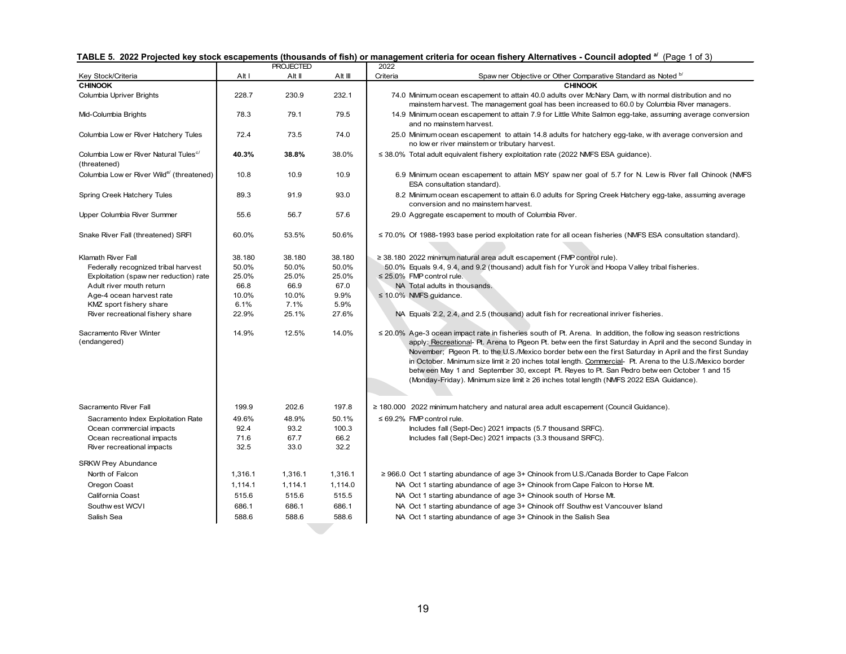|                                                                   |         | <b>PROJECTED</b> |         | 2022     |                                                                                                                                                                                                                                                                                                                                                                                                                                                                                                                                                                                                                                                       |
|-------------------------------------------------------------------|---------|------------------|---------|----------|-------------------------------------------------------------------------------------------------------------------------------------------------------------------------------------------------------------------------------------------------------------------------------------------------------------------------------------------------------------------------------------------------------------------------------------------------------------------------------------------------------------------------------------------------------------------------------------------------------------------------------------------------------|
| Key Stock/Criteria                                                | Alt I   | Alt II           | Alt III | Criteria | Spaw ner Objective or Other Comparative Standard as Noted <sup>b/</sup>                                                                                                                                                                                                                                                                                                                                                                                                                                                                                                                                                                               |
| <b>CHINOOK</b>                                                    |         |                  |         |          | <b>CHINOOK</b>                                                                                                                                                                                                                                                                                                                                                                                                                                                                                                                                                                                                                                        |
| Columbia Upriver Brights                                          | 228.7   | 230.9            | 232.1   |          | 74.0 Minimum ocean escapement to attain 40.0 adults over McNary Dam, with normal distribution and no<br>mainstem harvest. The management goal has been increased to 60.0 by Columbia River managers.                                                                                                                                                                                                                                                                                                                                                                                                                                                  |
| Mid-Columbia Brights                                              | 78.3    | 79.1             | 79.5    |          | 14.9 Minimum ocean escapement to attain 7.9 for Little White Salmon egg-take, assuming average conversion<br>and no mainstem harvest.                                                                                                                                                                                                                                                                                                                                                                                                                                                                                                                 |
| Columbia Low er River Hatchery Tules                              | 72.4    | 73.5             | 74.0    |          | 25.0 Minimum ocean escapement to attain 14.8 adults for hatchery egg-take, with average conversion and<br>no low er river mainstem or tributary harvest.                                                                                                                                                                                                                                                                                                                                                                                                                                                                                              |
| Columbia Low er River Natural Tules <sup>c/</sup><br>(threatened) | 40.3%   | 38.8%            | 38.0%   |          | ≤ 38.0% Total adult equivalent fishery exploitation rate (2022 NMFS ESA guidance).                                                                                                                                                                                                                                                                                                                                                                                                                                                                                                                                                                    |
| Columbia Low er River Wild <sup>e/</sup> (threatened)             | 10.8    | 10.9             | 10.9    |          | 6.9 Minimum ocean escapement to attain MSY spaw ner goal of 5.7 for N. Lew is River fall Chinook (NMFS)<br>ESA consultation standard).                                                                                                                                                                                                                                                                                                                                                                                                                                                                                                                |
| Spring Creek Hatchery Tules                                       | 89.3    | 91.9             | 93.0    |          | 8.2 Minimum ocean escapement to attain 6.0 adults for Spring Creek Hatchery egg-take, assuming average<br>conversion and no mainstem harvest.                                                                                                                                                                                                                                                                                                                                                                                                                                                                                                         |
| Upper Columbia River Summer                                       | 55.6    | 56.7             | 57.6    |          | 29.0 Aggregate escapement to mouth of Columbia River.                                                                                                                                                                                                                                                                                                                                                                                                                                                                                                                                                                                                 |
| Snake River Fall (threatened) SRFI                                | 60.0%   | 53.5%            | 50.6%   |          | $\leq$ 70.0% Of 1988-1993 base period exploitation rate for all ocean fisheries (NMFS ESA consultation standard).                                                                                                                                                                                                                                                                                                                                                                                                                                                                                                                                     |
| Klamath River Fall                                                | 38.180  | 38.180           | 38.180  |          | ≥ 38.180 2022 minimum natural area adult escapement (FMP control rule).                                                                                                                                                                                                                                                                                                                                                                                                                                                                                                                                                                               |
| Federally recognized tribal harvest                               | 50.0%   | 50.0%            | 50.0%   |          | 50.0% Equals 9.4, 9.4, and 9.2 (thousand) adult fish for Yurok and Hoopa Valley tribal fisheries.                                                                                                                                                                                                                                                                                                                                                                                                                                                                                                                                                     |
| Exploitation (spaw ner reduction) rate                            | 25.0%   | 25.0%            | 25.0%   |          | $\leq$ 25.0% FMP control rule.                                                                                                                                                                                                                                                                                                                                                                                                                                                                                                                                                                                                                        |
| Adult river mouth return                                          | 66.8    | 66.9             | 67.0    |          | NA Total adults in thousands.                                                                                                                                                                                                                                                                                                                                                                                                                                                                                                                                                                                                                         |
| Age-4 ocean harvest rate                                          | 10.0%   | 10.0%            | 9.9%    |          | $\leq$ 10.0% NMFS guidance.                                                                                                                                                                                                                                                                                                                                                                                                                                                                                                                                                                                                                           |
| KMZ sport fishery share                                           | 6.1%    | 7.1%             | 5.9%    |          |                                                                                                                                                                                                                                                                                                                                                                                                                                                                                                                                                                                                                                                       |
| River recreational fishery share                                  | 22.9%   | 25.1%            | 27.6%   |          | NA Equals 2.2, 2.4, and 2.5 (thousand) adult fish for recreational inriver fisheries.                                                                                                                                                                                                                                                                                                                                                                                                                                                                                                                                                                 |
| Sacramento River Winter<br>(endangered)                           | 14.9%   | 12.5%            | 14.0%   |          | $\leq$ 20.0% Age-3 ocean impact rate in fisheries south of Pt. Arena. In addition, the follow ing season restrictions<br>apply: Recreational- Pt. Arena to Pigeon Pt. betw een the first Saturday in April and the second Sunday in<br>November; Pigeon Pt. to the U.S./Mexico border betw een the first Saturday in April and the first Sunday<br>in October. Minimum size limit ≥ 20 inches total length. Commercial- Pt. Arena to the U.S./Mexico border<br>betw een May 1 and September 30, except Pt. Reyes to Pt. San Pedro betw een October 1 and 15<br>(Monday-Friday). Minimum size limit ≥ 26 inches total length (NMFS 2022 ESA Guidance). |
| Sacramento River Fall                                             | 199.9   | 202.6            | 197.8   |          | $\geq$ 180.000 2022 minimum hatchery and natural area adult escapement (Council Guidance).                                                                                                                                                                                                                                                                                                                                                                                                                                                                                                                                                            |
| Sacramento Index Exploitation Rate                                | 49.6%   | 48.9%            | 50.1%   |          | $\leq 69.2\%$ FMP control rule.                                                                                                                                                                                                                                                                                                                                                                                                                                                                                                                                                                                                                       |
| Ocean commercial impacts                                          | 92.4    | 93.2             | 100.3   |          | Includes fall (Sept-Dec) 2021 impacts (5.7 thousand SRFC).                                                                                                                                                                                                                                                                                                                                                                                                                                                                                                                                                                                            |
| Ocean recreational impacts                                        | 71.6    | 67.7             | 66.2    |          | Includes fall (Sept-Dec) 2021 impacts (3.3 thousand SRFC).                                                                                                                                                                                                                                                                                                                                                                                                                                                                                                                                                                                            |
| River recreational impacts                                        | 32.5    | 33.0             | 32.2    |          |                                                                                                                                                                                                                                                                                                                                                                                                                                                                                                                                                                                                                                                       |
| <b>SRKW Prey Abundance</b>                                        |         |                  |         |          |                                                                                                                                                                                                                                                                                                                                                                                                                                                                                                                                                                                                                                                       |
| North of Falcon                                                   | 1,316.1 | 1,316.1          | 1,316.1 |          | ≥ 966.0 Oct 1 starting abundance of age 3+ Chinook from U.S./Canada Border to Cape Falcon                                                                                                                                                                                                                                                                                                                                                                                                                                                                                                                                                             |
| Oregon Coast                                                      | 1,114.1 | 1,114.1          | 1,114.0 |          | NA Oct 1 starting abundance of age 3+ Chinook from Cape Falcon to Horse Mt.                                                                                                                                                                                                                                                                                                                                                                                                                                                                                                                                                                           |
| California Coast                                                  | 515.6   | 515.6            | 515.5   |          | NA Oct 1 starting abundance of age 3+ Chinook south of Horse Mt.                                                                                                                                                                                                                                                                                                                                                                                                                                                                                                                                                                                      |
| Southw est WCVI                                                   | 686.1   | 686.1            | 686.1   |          | NA Oct 1 starting abundance of age 3+ Chinook off Southwest Vancouver Island                                                                                                                                                                                                                                                                                                                                                                                                                                                                                                                                                                          |
| Salish Sea                                                        | 588.6   | 588.6            | 588.6   |          | NA Oct 1 starting abundance of age 3+ Chinook in the Salish Sea                                                                                                                                                                                                                                                                                                                                                                                                                                                                                                                                                                                       |
|                                                                   |         |                  |         |          |                                                                                                                                                                                                                                                                                                                                                                                                                                                                                                                                                                                                                                                       |

### **TABLE 5. 2022 Projected key stock escapements (thousands of fish) or management criteria for ocean fishery Alternatives - Council adopted a/** (Page 1 of 3)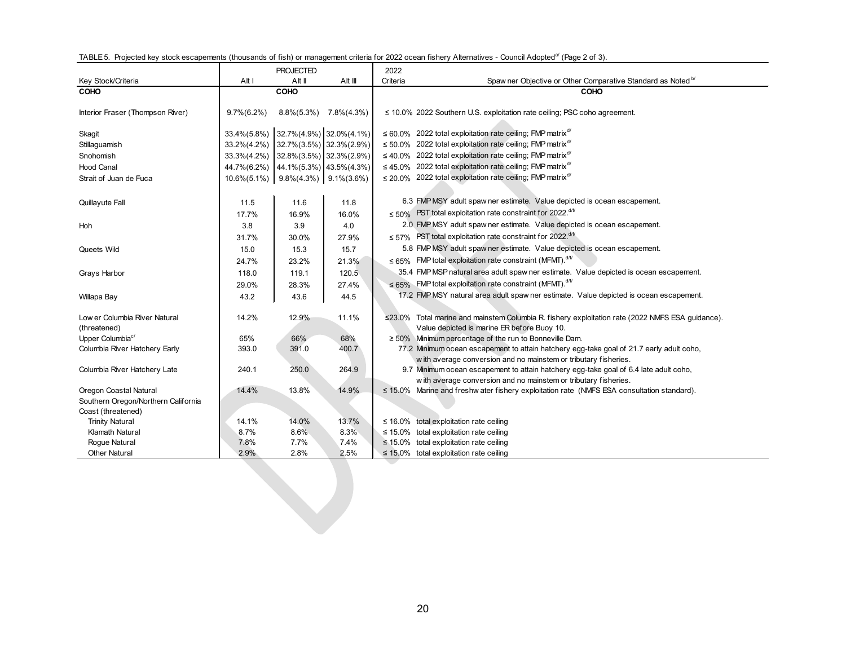|  |  | TABLE 5. Projected key stock escapements (thousands of fish) or management criteria for 2022 ocean fishery Alternatives - Council Adopted <sup>a/</sup> (Page 2 of 3). |  |  |  |  |  |
|--|--|------------------------------------------------------------------------------------------------------------------------------------------------------------------------|--|--|--|--|--|
|  |  |                                                                                                                                                                        |  |  |  |  |  |

|                                     |                | <b>PROJECTED</b>                                  |         | 2022     |                                                                                                  |
|-------------------------------------|----------------|---------------------------------------------------|---------|----------|--------------------------------------------------------------------------------------------------|
| Key Stock/Criteria                  | Alt I          | Alt II                                            | Alt III | Criteria | Spaw ner Objective or Other Comparative Standard as Noted bl                                     |
| COHO                                |                | COHO                                              |         |          | COHO                                                                                             |
| Interior Fraser (Thompson River)    | $9.7\%(6.2\%)$ | $8.8\%(5.3\%)$ 7.8\% $(4.3\%)$                    |         |          | $\leq$ 10.0% 2022 Southern U.S. exploitation rate ceiling; PSC coho agreement.                   |
| Skagit                              |                | 33.4%(5.8%) 32.7%(4.9%) 32.0%(4.1%)               |         |          | $\leq 60.0\%$ 2022 total exploitation rate ceiling; FMP matrix <sup>d/</sup>                     |
| Stillaguamish                       | 33.2%(4.2%)    | 32.7% (3.5%) 32.3% (2.9%)                         |         |          | $\leq$ 50.0% 2022 total exploitation rate ceiling; FMP matrix <sup>d/</sup>                      |
| Snohomish                           | 33.3%(4.2%)    | 32.8%(3.5%) 32.3%(2.9%)                           |         |          | $\leq$ 40.0% 2022 total exploitation rate ceiling; FMP matrix <sup>d/</sup>                      |
| <b>Hood Canal</b>                   |                |                                                   |         |          | $\leq$ 45.0% 2022 total exploitation rate ceiling; FMP matrix <sup>d/</sup>                      |
|                                     | 44.7%(6.2%)    | $44.1\%(5.3\%)$ $43.5\%(4.3\%)$                   |         |          | ≤ 20.0% 2022 total exploitation rate ceiling; FMP matrix <sup>d/</sup>                           |
| Strait of Juan de Fuca              |                | $10.6\%(5.1\%)$   9.8% $(4.3\%)$   9.1% $(3.6\%)$ |         |          |                                                                                                  |
|                                     |                |                                                   |         |          |                                                                                                  |
| Quillayute Fall                     | 11.5           | 11.6                                              | 11.8    |          | 6.3 FMP MSY adult spaw ner estimate. Value depicted is ocean escapement.                         |
|                                     | 17.7%          | 16.9%                                             | 16.0%   |          | $\leq 50\%$ PST total exploitation rate constraint for 2022. <sup>d/f/</sup>                     |
| Hoh                                 | 3.8            | 3.9                                               | 4.0     |          | 2.0 FMP MSY adult spaw ner estimate. Value depicted is ocean escapement.                         |
|                                     | 31.7%          | 30.0%                                             | 27.9%   |          | $\leq$ 57% PST total exploitation rate constraint for 2022. <sup>d/f/</sup>                      |
| Queets Wild                         | 15.0           | 15.3                                              | 15.7    |          | 5.8 FMP MSY adult spaw ner estimate. Value depicted is ocean escapement.                         |
|                                     | 24.7%          | 23.2%                                             | 21.3%   |          | $\leq 65\%$ FMP total exploitation rate constraint (MFMT). d/f/                                  |
| Grays Harbor                        | 118.0          | 119.1                                             | 120.5   |          | 35.4 FMP MSP natural area adult spaw ner estimate. Value depicted is ocean escapement.           |
|                                     | 29.0%          | 28.3%                                             | 27.4%   |          | $\leq$ 65% FMP total exploitation rate constraint (MFMT). df                                     |
|                                     | 43.2           | 43.6                                              | 44.5    |          | 17.2 FMP MSY natural area adult spaw ner estimate. Value depicted is ocean escapement.           |
| Willapa Bay                         |                |                                                   |         |          |                                                                                                  |
| Low er Columbia River Natural       | 14.2%          | 12.9%                                             | 11.1%   |          | ≤23.0% Total marine and mainstem Columbia R. fishery exploitation rate (2022 NMFS ESA guidance). |
| (threatened)                        |                |                                                   |         |          | Value depicted is marine ER before Buoy 10.                                                      |
| Upper Columbia <sup>c/</sup>        | 65%            | 66%                                               | 68%     |          | $\geq$ 50% Minimum percentage of the run to Bonneville Dam.                                      |
| Columbia River Hatchery Early       | 393.0          | 391.0                                             | 400.7   |          | 77.2 Minimum ocean escapement to attain hatchery egg-take goal of 21.7 early adult coho,         |
|                                     |                |                                                   |         |          | with average conversion and no mainstem or tributary fisheries.                                  |
| Columbia River Hatchery Late        | 240.1          | 250.0                                             | 264.9   |          | 9.7 Minimum ocean escapement to attain hatchery egg-take goal of 6.4 late adult coho,            |
|                                     |                |                                                   |         |          | with average conversion and no mainstem or tributary fisheries.                                  |
| Oregon Coastal Natural              | 14.4%          | 13.8%                                             | 14.9%   |          | $\leq$ 15.0% Marine and freshw ater fishery exploitation rate (NMFS ESA consultation standard).  |
| Southern Oregon/Northern California |                |                                                   |         |          |                                                                                                  |
| Coast (threatened)                  |                |                                                   |         |          |                                                                                                  |
| <b>Trinity Natural</b>              | 14.1%          | 14.0%                                             | 13.7%   |          | $\leq$ 16.0% total exploitation rate ceiling                                                     |
| <b>Klamath Natural</b>              | 8.7%           | 8.6%                                              | 8.3%    |          | $\leq$ 15.0% total exploitation rate ceiling                                                     |
| Rogue Natural                       | 7.8%           | 7.7%                                              | 7.4%    |          | $\leq$ 15.0% total exploitation rate ceiling                                                     |
| <b>Other Natural</b>                | 2.9%           | 2.8%                                              | 2.5%    |          | $\leq$ 15.0% total exploitation rate ceiling                                                     |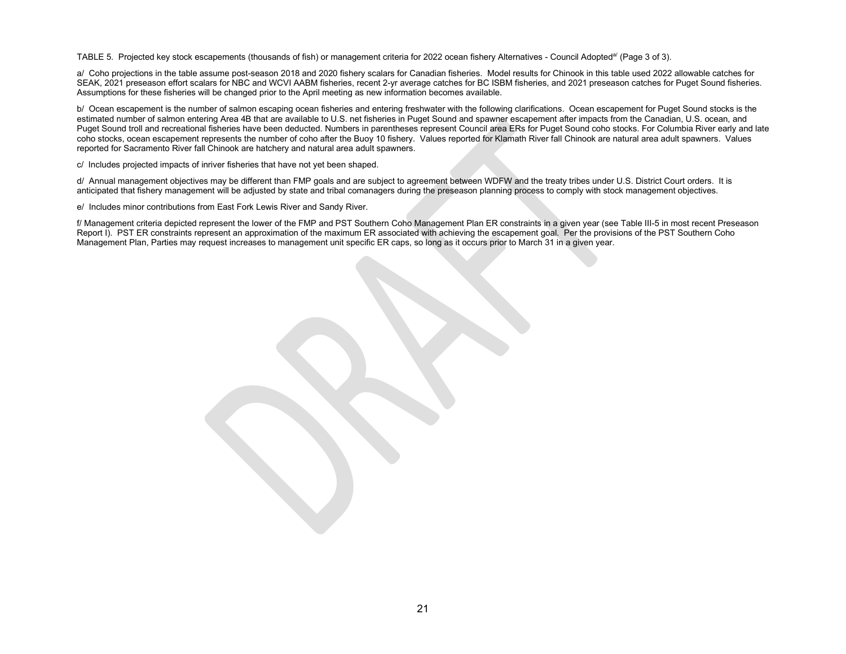TABLE 5. Projected key stock escapements (thousands of fish) or management criteria for 2022 ocean fishery Alternatives - Council Adopted<sup>a/</sup> (Page 3 of 3).

a/ Coho projections in the table assume post-season 2018 and 2020 fishery scalars for Canadian fisheries. Model results for Chinook in this table used 2022 allowable catches for SEAK, 2021 preseason effort scalars for NBC and WCVI AABM fisheries, recent 2-yr average catches for BC ISBM fisheries, and 2021 preseason catches for Puget Sound fisheries. Assumptions for these fisheries will be changed prior to the April meeting as new information becomes available.

b/ Ocean escapement is the number of salmon escaping ocean fisheries and entering freshwater with the following clarifications. Ocean escapement for Puget Sound stocks is the estimated number of salmon entering Area 4B that are available to U.S. net fisheries in Puget Sound and spawner escapement after impacts from the Canadian, U.S. ocean, and Puget Sound troll and recreational fisheries have been deducted. Numbers in parentheses represent Council area ERs for Puget Sound coho stocks. For Columbia River early and late coho stocks, ocean escapement represents the number of coho after the Buoy 10 fishery. Values reported for Klamath River fall Chinook are natural area adult spawners. Values reported for Sacramento River fall Chinook are hatchery and natural area adult spawners.

c/ Includes projected impacts of inriver fisheries that have not yet been shaped.

d/ Annual management objectives may be different than FMP goals and are subject to agreement between WDFW and the treaty tribes under U.S. District Court orders. It is anticipated that fishery management will be adjusted by state and tribal comanagers during the preseason planning process to comply with stock management objectives.

e/ Includes minor contributions from East Fork Lewis River and Sandy River.

f/ Management criteria depicted represent the lower of the FMP and PST Southern Coho Management Plan ER constraints in a given year (see Table III-5 in most recent Preseason Report I). PST ER constraints represent an approximation of the maximum ER associated with achieving the escapement goal. Per the provisions of the PST Southern Coho Management Plan, Parties may request increases to management unit specific ER caps, so long as it occurs prior to March 31 in a given year.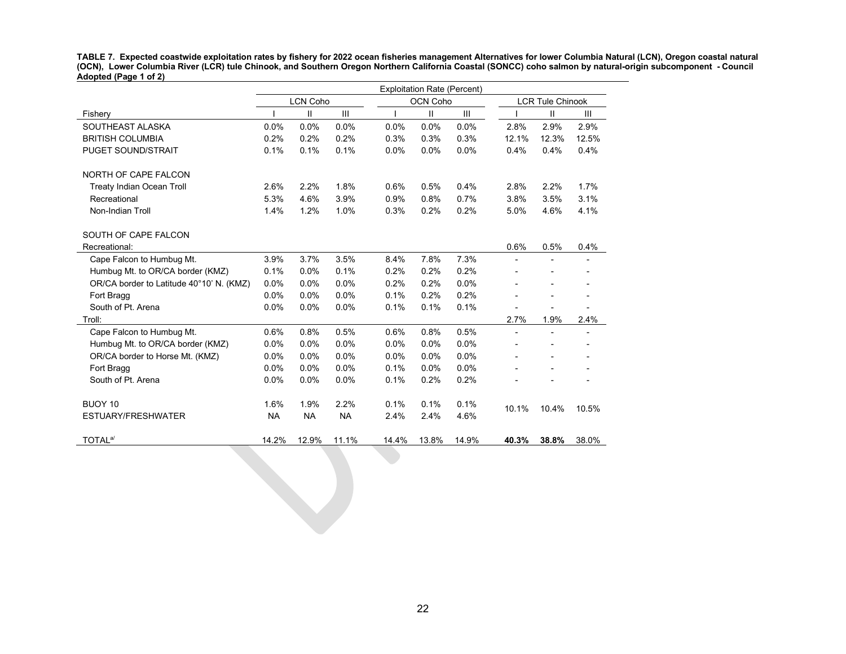**TABLE 7. Expected coastwide exploitation rates by fishery for 2022 ocean fisheries management Alternatives for lower Columbia Natural (LCN), Oregon coastal natural (OCN), Lower Columbia River (LCR) tule Chinook, and Southern Oregon Northern California Coastal (SONCC) coho salmon by natural-origin subcomponent - Council Adopted (Page 1 of 2)**

|                                          |           |                             |           |       | <b>Exploitation Rate (Percent)</b> |       |                |                          |       |
|------------------------------------------|-----------|-----------------------------|-----------|-------|------------------------------------|-------|----------------|--------------------------|-------|
|                                          |           | <b>LCN Coho</b><br>OCN Coho |           |       |                                    |       |                | <b>LCR Tule Chinook</b>  |       |
| Fishery                                  |           | Ш                           | Ш         |       | Ш                                  | Ш     |                | Ш                        | III   |
| SOUTHEAST ALASKA                         | 0.0%      | 0.0%                        | 0.0%      | 0.0%  | 0.0%                               | 0.0%  | 2.8%           | 2.9%                     | 2.9%  |
| <b>BRITISH COLUMBIA</b>                  | 0.2%      | 0.2%                        | 0.2%      | 0.3%  | 0.3%                               | 0.3%  | 12.1%          | 12.3%                    | 12.5% |
| <b>PUGET SOUND/STRAIT</b>                | 0.1%      | 0.1%                        | 0.1%      | 0.0%  | 0.0%                               | 0.0%  | 0.4%           | 0.4%                     | 0.4%  |
| NORTH OF CAPE FALCON                     |           |                             |           |       |                                    |       |                |                          |       |
| <b>Treaty Indian Ocean Troll</b>         | 2.6%      | 2.2%                        | 1.8%      | 0.6%  | 0.5%                               | 0.4%  | 2.8%           | 2.2%                     | 1.7%  |
| Recreational                             | 5.3%      | 4.6%                        | 3.9%      | 0.9%  | 0.8%                               | 0.7%  | 3.8%           | 3.5%                     | 3.1%  |
| Non-Indian Troll                         | 1.4%      | 1.2%                        | 1.0%      | 0.3%  | 0.2%                               | 0.2%  | 5.0%           | 4.6%                     | 4.1%  |
| SOUTH OF CAPE FALCON                     |           |                             |           |       |                                    |       |                |                          |       |
| Recreational:                            |           |                             |           |       |                                    |       | 0.6%           | 0.5%                     | 0.4%  |
| Cape Falcon to Humbug Mt.                | 3.9%      | 3.7%                        | 3.5%      | 8.4%  | 7.8%                               | 7.3%  |                |                          |       |
| Humbug Mt. to OR/CA border (KMZ)         | 0.1%      | 0.0%                        | 0.1%      | 0.2%  | 0.2%                               | 0.2%  |                | $\overline{\phantom{0}}$ |       |
| OR/CA border to Latitude 40°10' N. (KMZ) | 0.0%      | 0.0%                        | 0.0%      | 0.2%  | 0.2%                               | 0.0%  |                |                          |       |
| Fort Bragg                               | 0.0%      | 0.0%                        | 0.0%      | 0.1%  | 0.2%                               | 0.2%  |                | $\overline{\phantom{0}}$ |       |
| South of Pt. Arena                       | 0.0%      | 0.0%                        | 0.0%      | 0.1%  | 0.1%                               | 0.1%  |                |                          |       |
| Troll:                                   |           |                             |           |       |                                    |       | 2.7%           | 1.9%                     | 2.4%  |
| Cape Falcon to Humbug Mt.                | 0.6%      | 0.8%                        | 0.5%      | 0.6%  | 0.8%                               | 0.5%  | $\blacksquare$ | $\blacksquare$           |       |
| Humbug Mt. to OR/CA border (KMZ)         | 0.0%      | 0.0%                        | 0.0%      | 0.0%  | 0.0%                               | 0.0%  |                |                          |       |
| OR/CA border to Horse Mt. (KMZ)          | 0.0%      | 0.0%                        | 0.0%      | 0.0%  | 0.0%                               | 0.0%  |                | $\overline{a}$           |       |
| Fort Bragg                               | 0.0%      | 0.0%                        | 0.0%      | 0.1%  | 0.0%                               | 0.0%  |                | $\overline{a}$           |       |
| South of Pt. Arena                       | 0.0%      | 0.0%                        | 0.0%      | 0.1%  | 0.2%                               | 0.2%  |                |                          |       |
| BUOY 10                                  | 1.6%      | 1.9%                        | 2.2%      | 0.1%  | 0.1%                               | 0.1%  | 10.1%          | 10.4%                    | 10.5% |
| ESTUARY/FRESHWATER                       | <b>NA</b> | <b>NA</b>                   | <b>NA</b> | 2.4%  | 2.4%                               | 4.6%  |                |                          |       |
| TOTAL <sup>a/</sup>                      | 14.2%     | 12.9%                       | 11.1%     | 14.4% | 13.8%                              | 14.9% | 40.3%          | 38.8%                    | 38.0% |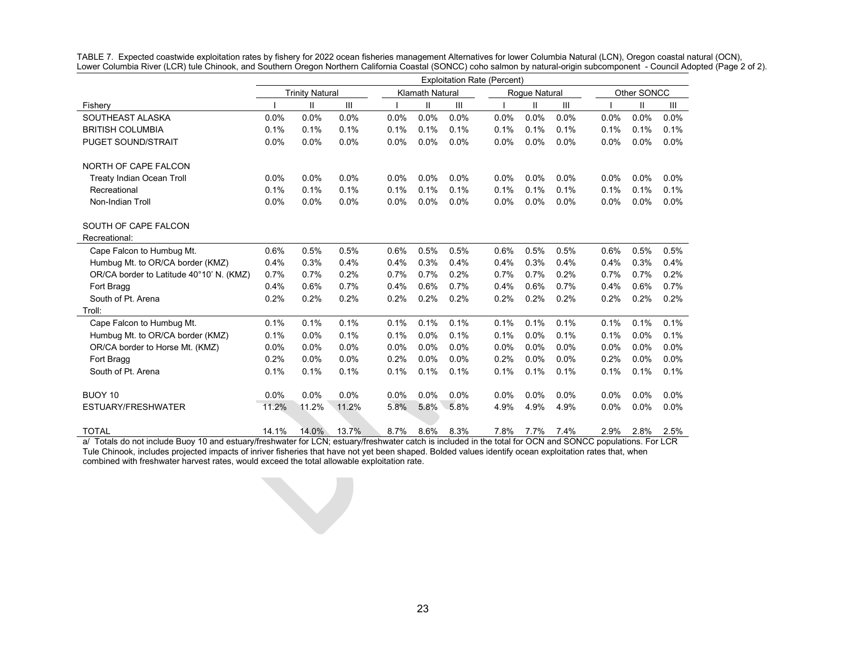|                                          | <b>Exploitation Rate (Percent)</b> |                                                                   |       |      |      |      |      |      |         |             |         |      |
|------------------------------------------|------------------------------------|-------------------------------------------------------------------|-------|------|------|------|------|------|---------|-------------|---------|------|
|                                          |                                    | <b>Trinity Natural</b><br><b>Klamath Natural</b><br>Rogue Natural |       |      |      |      |      |      |         | Other SONCC |         |      |
| Fishery                                  |                                    | Ш                                                                 | Ш     |      | Ш    | III  |      | Ш    | III     |             | Ш       | Ш    |
| SOUTHEAST ALASKA                         | 0.0%                               | 0.0%                                                              | 0.0%  | 0.0% | 0.0% | 0.0% | 0.0% | 0.0% | 0.0%    | 0.0%        | 0.0%    | 0.0% |
| <b>BRITISH COLUMBIA</b>                  | 0.1%                               | 0.1%                                                              | 0.1%  | 0.1% | 0.1% | 0.1% | 0.1% | 0.1% | 0.1%    | 0.1%        | 0.1%    | 0.1% |
| <b>PUGET SOUND/STRAIT</b>                | 0.0%                               | 0.0%                                                              | 0.0%  | 0.0% | 0.0% | 0.0% | 0.0% | 0.0% | 0.0%    | 0.0%        | 0.0%    | 0.0% |
| NORTH OF CAPE FALCON                     |                                    |                                                                   |       |      |      |      |      |      |         |             |         |      |
| <b>Treaty Indian Ocean Troll</b>         | 0.0%                               | 0.0%                                                              | 0.0%  | 0.0% | 0.0% | 0.0% | 0.0% | 0.0% | $0.0\%$ | 0.0%        | 0.0%    | 0.0% |
| Recreational                             | 0.1%                               | 0.1%                                                              | 0.1%  | 0.1% | 0.1% | 0.1% | 0.1% | 0.1% | 0.1%    | 0.1%        | 0.1%    | 0.1% |
| Non-Indian Troll                         | 0.0%                               | 0.0%                                                              | 0.0%  | 0.0% | 0.0% | 0.0% | 0.0% | 0.0% | 0.0%    | 0.0%        | 0.0%    | 0.0% |
| SOUTH OF CAPE FALCON                     |                                    |                                                                   |       |      |      |      |      |      |         |             |         |      |
| Recreational:                            |                                    |                                                                   |       |      |      |      |      |      |         |             |         |      |
| Cape Falcon to Humbug Mt.                | 0.6%                               | 0.5%                                                              | 0.5%  | 0.6% | 0.5% | 0.5% | 0.6% | 0.5% | 0.5%    | 0.6%        | 0.5%    | 0.5% |
| Humbug Mt. to OR/CA border (KMZ)         | 0.4%                               | 0.3%                                                              | 0.4%  | 0.4% | 0.3% | 0.4% | 0.4% | 0.3% | 0.4%    | 0.4%        | 0.3%    | 0.4% |
| OR/CA border to Latitude 40°10' N. (KMZ) | 0.7%                               | 0.7%                                                              | 0.2%  | 0.7% | 0.7% | 0.2% | 0.7% | 0.7% | 0.2%    | 0.7%        | 0.7%    | 0.2% |
| Fort Bragg                               | 0.4%                               | 0.6%                                                              | 0.7%  | 0.4% | 0.6% | 0.7% | 0.4% | 0.6% | 0.7%    | 0.4%        | 0.6%    | 0.7% |
| South of Pt. Arena                       | 0.2%                               | 0.2%                                                              | 0.2%  | 0.2% | 0.2% | 0.2% | 0.2% | 0.2% | 0.2%    | 0.2%        | 0.2%    | 0.2% |
| Troll:                                   |                                    |                                                                   |       |      |      |      |      |      |         |             |         |      |
| Cape Falcon to Humbug Mt.                | 0.1%                               | 0.1%                                                              | 0.1%  | 0.1% | 0.1% | 0.1% | 0.1% | 0.1% | 0.1%    | 0.1%        | 0.1%    | 0.1% |
| Humbug Mt. to OR/CA border (KMZ)         | 0.1%                               | 0.0%                                                              | 0.1%  | 0.1% | 0.0% | 0.1% | 0.1% | 0.0% | 0.1%    | 0.1%        | 0.0%    | 0.1% |
| OR/CA border to Horse Mt. (KMZ)          | 0.0%                               | 0.0%                                                              | 0.0%  | 0.0% | 0.0% | 0.0% | 0.0% | 0.0% | 0.0%    | 0.0%        | $0.0\%$ | 0.0% |
| Fort Bragg                               | 0.2%                               | 0.0%                                                              | 0.0%  | 0.2% | 0.0% | 0.0% | 0.2% | 0.0% | 0.0%    | 0.2%        | $0.0\%$ | 0.0% |
| South of Pt. Arena                       | 0.1%                               | 0.1%                                                              | 0.1%  | 0.1% | 0.1% | 0.1% | 0.1% | 0.1% | 0.1%    | 0.1%        | 0.1%    | 0.1% |
| BUOY 10                                  | 0.0%                               | 0.0%                                                              | 0.0%  | 0.0% | 0.0% | 0.0% | 0.0% | 0.0% | 0.0%    | 0.0%        | 0.0%    | 0.0% |
| ESTUARY/FRESHWATER                       | 11.2%                              | 11.2%                                                             | 11.2% | 5.8% | 5.8% | 5.8% | 4.9% | 4.9% | 4.9%    | 0.0%        | 0.0%    | 0.0% |
| <b>TOTAL</b>                             | 14.1%                              | 14.0%                                                             | 13.7% | 8.7% | 8.6% | 8.3% | 7.8% | 7.7% | 7.4%    | 2.9%        | 2.8%    | 2.5% |

TABLE 7. Expected coastwide exploitation rates by fishery for 2022 ocean fisheries management Alternatives for lower Columbia Natural (LCN), Oregon coastal natural (OCN), Lower Columbia River (LCR) tule Chinook, and Southern Oregon Northern California Coastal (SONCC) coho salmon by natural-origin subcomponent - Council Adopted (Page 2 of 2).

a/ Totals do not include Buoy 10 and estuary/freshwater for LCN; estuary/freshwater catch is included in the total for OCN and SONCC populations. For LCR Tule Chinook, includes projected impacts of inriver fisheries that have not yet been shaped. Bolded values identify ocean exploitation rates that, when combined with freshwater harvest rates, would exceed the total allowable exploitation rate.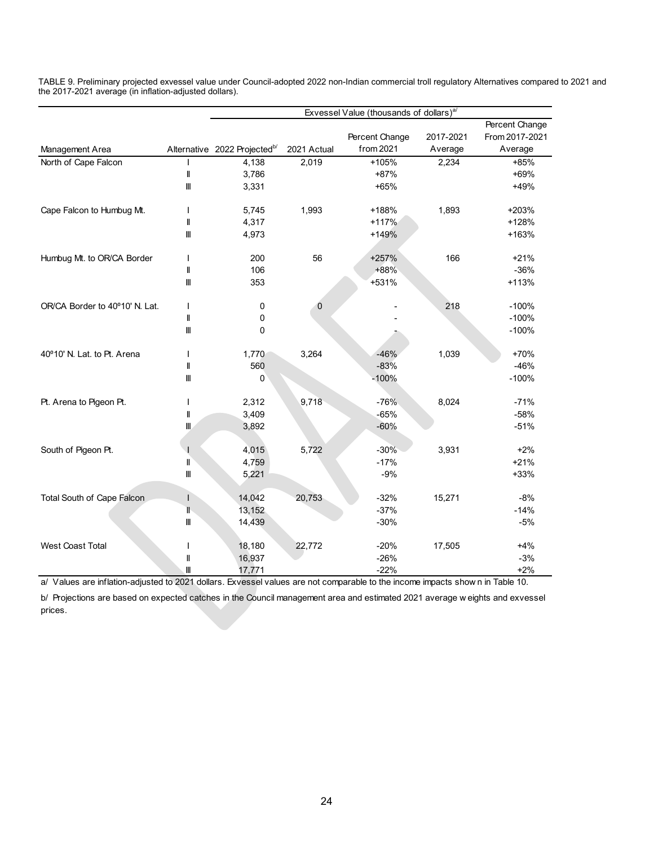|                                |                                                                                                                                                                                                                                                                                                                                                                                                         |                                          |              | Exvessel Value (thousands of dollars) <sup>a/</sup> |           |                |
|--------------------------------|---------------------------------------------------------------------------------------------------------------------------------------------------------------------------------------------------------------------------------------------------------------------------------------------------------------------------------------------------------------------------------------------------------|------------------------------------------|--------------|-----------------------------------------------------|-----------|----------------|
|                                |                                                                                                                                                                                                                                                                                                                                                                                                         |                                          |              |                                                     |           | Percent Change |
|                                |                                                                                                                                                                                                                                                                                                                                                                                                         |                                          |              | Percent Change                                      | 2017-2021 | From 2017-2021 |
| Management Area                |                                                                                                                                                                                                                                                                                                                                                                                                         | Alternative 2022 Projected <sup>b/</sup> | 2021 Actual  | from 2021                                           | Average   | Average        |
| North of Cape Falcon           |                                                                                                                                                                                                                                                                                                                                                                                                         | 4,138                                    | 2,019        | +105%                                               | 2,234     | +85%           |
|                                | $\mathop{  }% \text{log}(p_{\theta} - p_{\theta}^{\ast})  \leq \frac{1}{\theta} \sum_{i=1}^{\infty} \left( \frac{1}{\theta} \sum_{j=1}^{\infty} \frac{1}{j} \sum_{j=1}^{\infty} \frac{1}{j} \sum_{j=1}^{\infty} \frac{1}{j} \sum_{j=1}^{\infty} \frac{1}{j} \sum_{j=1}^{\infty} \frac{1}{j} \sum_{j=1}^{\infty} \frac{1}{j} \sum_{j=1}^{\infty} \frac{1}{j} \sum_{j=1}^{\infty} \frac{1}{j} \sum_{j=1}$ | 3,786                                    |              | +87%                                                |           | +69%           |
|                                | $\mathbf{I}$                                                                                                                                                                                                                                                                                                                                                                                            | 3,331                                    |              | $+65%$                                              |           | +49%           |
| Cape Falcon to Humbug Mt.      | T                                                                                                                                                                                                                                                                                                                                                                                                       | 5,745                                    | 1,993        | +188%                                               | 1,893     | +203%          |
|                                | $\mathbf{I}$                                                                                                                                                                                                                                                                                                                                                                                            | 4,317                                    |              | $+117%$                                             |           | +128%          |
|                                | Ⅲ                                                                                                                                                                                                                                                                                                                                                                                                       | 4,973                                    |              | +149%                                               |           | +163%          |
| Humbug Mt. to OR/CA Border     |                                                                                                                                                                                                                                                                                                                                                                                                         | 200                                      | 56           | +257%                                               | 166       | $+21%$         |
|                                | Ш                                                                                                                                                                                                                                                                                                                                                                                                       | 106                                      |              | $+88%$                                              |           | $-36%$         |
|                                | Ⅲ                                                                                                                                                                                                                                                                                                                                                                                                       | 353                                      |              | +531%                                               |           | $+113%$        |
| OR/CA Border to 40°10' N. Lat. | ı                                                                                                                                                                                                                                                                                                                                                                                                       | 0                                        | $\mathbf{0}$ |                                                     | 218       | $-100%$        |
|                                | $\mathbf{I}$                                                                                                                                                                                                                                                                                                                                                                                            | 0                                        |              |                                                     |           | $-100%$        |
|                                | $\ensuremath{\mathsf{III}}\xspace$                                                                                                                                                                                                                                                                                                                                                                      | 0                                        |              |                                                     |           | $-100%$        |
| 40°10' N. Lat. to Pt. Arena    | T                                                                                                                                                                                                                                                                                                                                                                                                       | 1,770                                    | 3,264        | $-46%$                                              | 1,039     | +70%           |
|                                | Ш                                                                                                                                                                                                                                                                                                                                                                                                       | 560                                      |              | $-83%$                                              |           | $-46%$         |
|                                | $\mathbf{m}$                                                                                                                                                                                                                                                                                                                                                                                            | 0                                        |              | $-100%$                                             |           | $-100%$        |
| Pt. Arena to Pigeon Pt.        | ı                                                                                                                                                                                                                                                                                                                                                                                                       | 2,312                                    | 9,718        | $-76%$                                              | 8,024     | $-71%$         |
|                                | Ш                                                                                                                                                                                                                                                                                                                                                                                                       | 3,409                                    |              | $-65%$                                              |           | $-58%$         |
|                                | $\mathbf{m}$                                                                                                                                                                                                                                                                                                                                                                                            | 3,892                                    |              | $-60%$                                              |           | $-51%$         |
| South of Pigeon Pt.            |                                                                                                                                                                                                                                                                                                                                                                                                         | 4,015                                    | 5,722        | $-30%$                                              | 3,931     | $+2%$          |
|                                | $\mathbf{I}$                                                                                                                                                                                                                                                                                                                                                                                            | 4,759                                    |              | $-17%$                                              |           | $+21%$         |
|                                | $\label{eq:1} \begin{array}{c} \  \  \  \end{array}$                                                                                                                                                                                                                                                                                                                                                    | 5,221                                    |              | $-9%$                                               |           | $+33%$         |
| Total South of Cape Falcon     | $\mathbf{I}$                                                                                                                                                                                                                                                                                                                                                                                            | 14,042                                   | 20,753       | $-32%$                                              | 15,271    | $-8%$          |
|                                | T                                                                                                                                                                                                                                                                                                                                                                                                       | 13,152                                   |              | $-37%$                                              |           | $-14%$         |
|                                | Ш                                                                                                                                                                                                                                                                                                                                                                                                       | 14,439                                   |              | $-30%$                                              |           | $-5%$          |
| <b>West Coast Total</b>        |                                                                                                                                                                                                                                                                                                                                                                                                         | 18,180                                   | 22,772       | $-20%$                                              | 17,505    | $+4%$          |
|                                | $\mathbf l$                                                                                                                                                                                                                                                                                                                                                                                             | 16,937                                   |              | $-26%$                                              |           | $-3%$          |
|                                | Ш                                                                                                                                                                                                                                                                                                                                                                                                       | 17,771                                   |              | $-22%$                                              |           | $+2%$          |

TABLE 9. Preliminary projected exvessel value under Council-adopted 2022 non-Indian commercial troll regulatory Alternatives compared to 2021 and the 2017-2021 average (in inflation-adjusted dollars).

a/ Values are inflation-adjusted to 2021 dollars. Exvessel values are not comparable to the income impacts show n in Table 10.

b/ Projections are based on expected catches in the Council management area and estimated 2021 average w eights and exvessel prices.